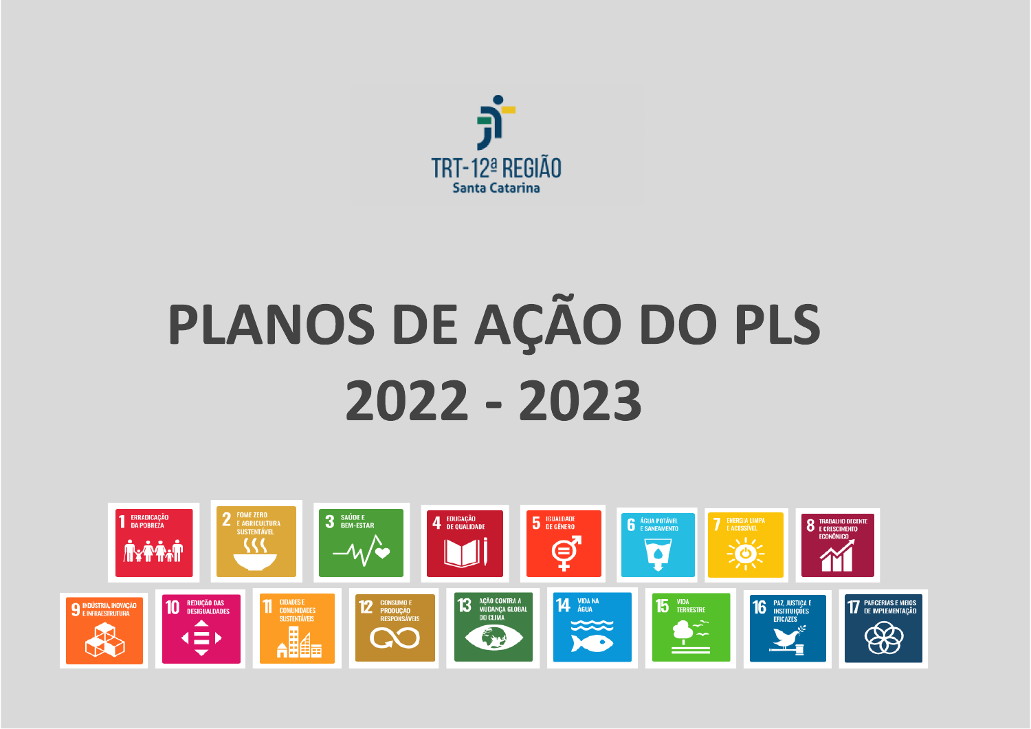

### PLANOS DE AÇÃO DO PLS 2022 - 2023

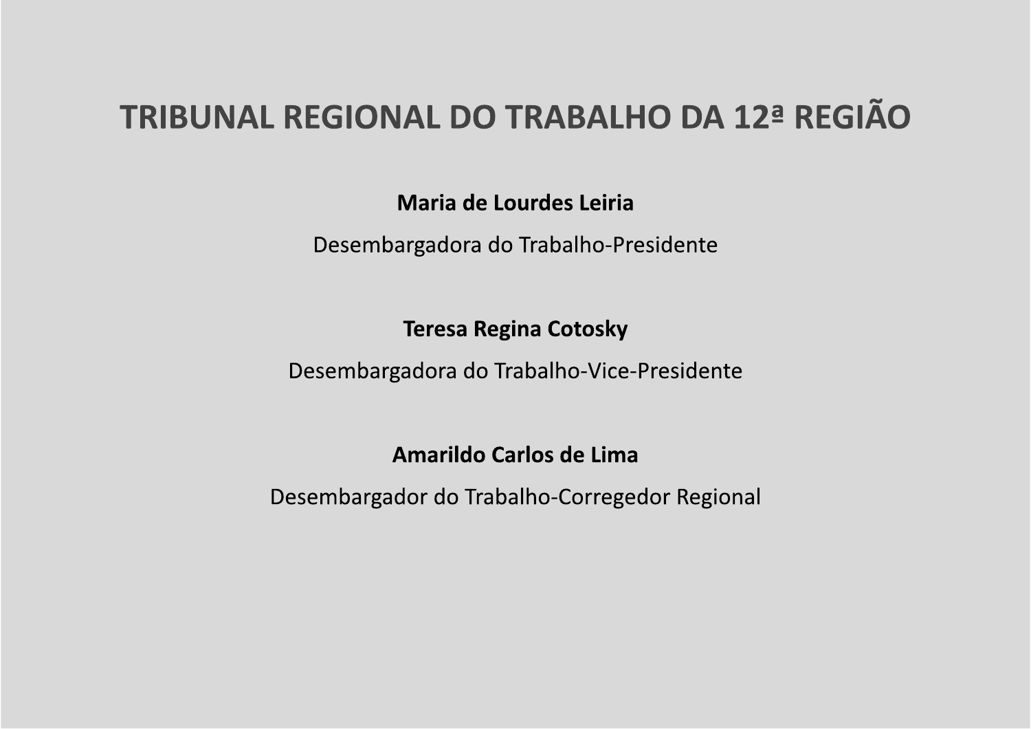### TRIBUNAL REGIONAL DO TRABALHO DA 12ª REGIÃO

Maria de Lourdes Leiria

Desembargadora do Trabalho-Presidente

**Teresa Regina Cotosky** 

Desembargadora do Trabalho-Vice-Presidente

Amarildo Carlos de Lima

Desembargador do Trabalho-Corregedor Regional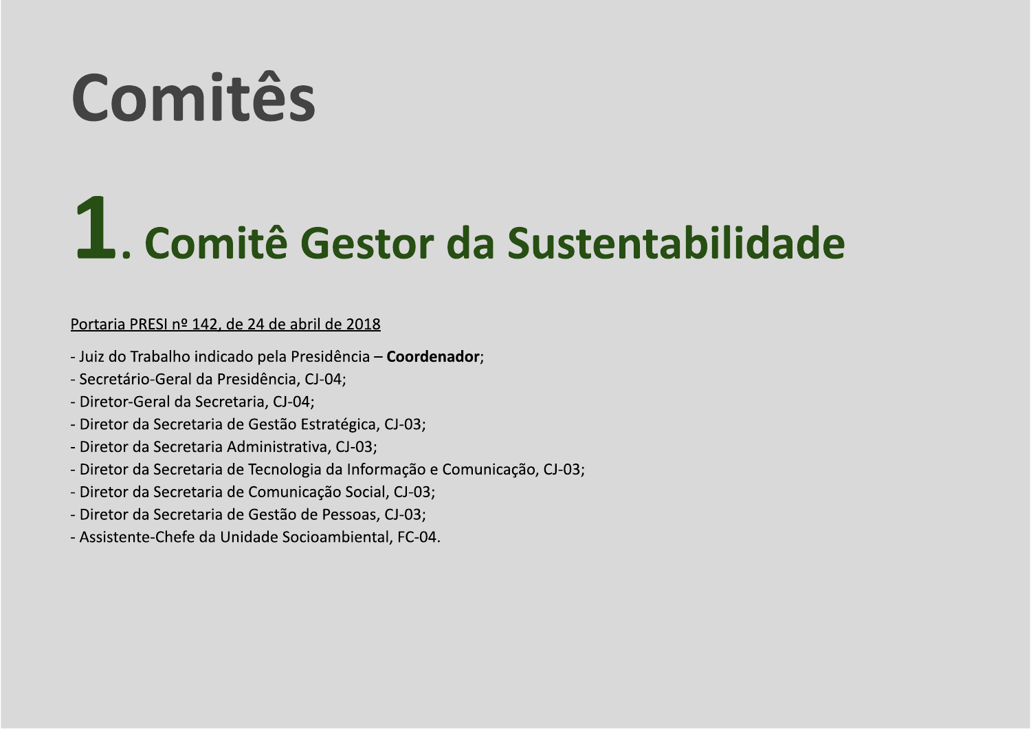### Comitês

### 1. Comité Gestor da Sustentabilidade

### Portaria PRESI nº 142, de 24 de abril de 2018

- Juiz do Trabalho indicado pela Presidência Coordenador;
- Secretário-Geral da Presidência, CJ-04;
- Diretor-Geral da Secretaria, CJ-04;
- Diretor da Secretaria de Gestão Estratégica, CJ-03;
- Diretor da Secretaria Administrativa, CJ-03;
- Diretor da Secretaria de Tecnologia da Informação e Comunicação, CJ-03;
- Diretor da Secretaria de Comunicação Social, CJ-03;
- Diretor da Secretaria de Gestão de Pessoas, CJ-03;
- Assistente-Chefe da Unidade Socioambiental, FC-04.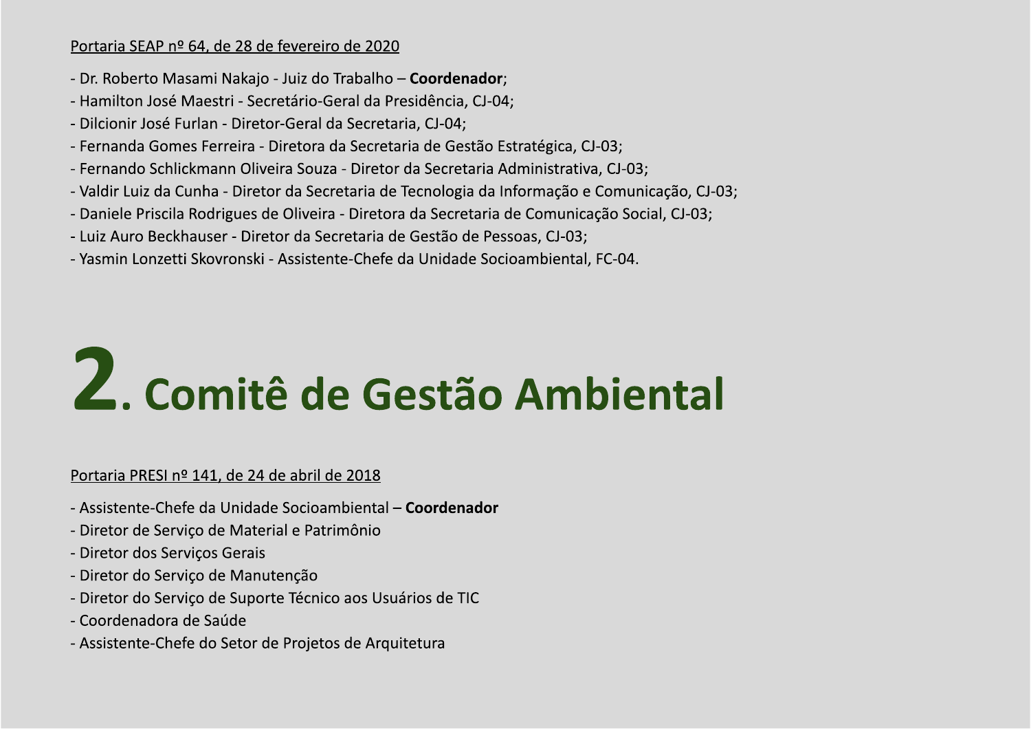### Portaria SEAP nº 64, de 28 de fevereiro de 2020

- Dr. Roberto Masami Nakajo Juiz do Trabalho Coordenador;
- Hamilton José Maestri Secretário-Geral da Presidência, CJ-04;
- Dilcionir José Furlan Diretor-Geral da Secretaria, CJ-04;
- Fernanda Gomes Ferreira Diretora da Secretaria de Gestão Estratégica, CJ-03;
- Fernando Schlickmann Oliveira Souza Diretor da Secretaria Administrativa, CJ-03;
- Valdir Luiz da Cunha Diretor da Secretaria de Tecnologia da Informação e Comunicação, CJ-03;
- Daniele Priscila Rodrigues de Oliveira Diretora da Secretaria de Comunicação Social, CJ-03;
- Luiz Auro Beckhauser Diretor da Secretaria de Gestão de Pessoas, CJ-03;
- Yasmin Lonzetti Skovronski Assistente-Chefe da Unidade Socioambiental, FC-04.

# Z. Comitê de Gestão Ambiental

### Portaria PRESI nº 141, de 24 de abril de 2018

- Assistente-Chefe da Unidade Socioambiental Coordenador
- Diretor de Servico de Material e Patrimônio
- Diretor dos Serviços Gerais
- Diretor do Serviço de Manutenção
- Diretor do Serviço de Suporte Técnico aos Usuários de TIC
- Coordenadora de Saúde
- Assistente-Chefe do Setor de Projetos de Arquitetura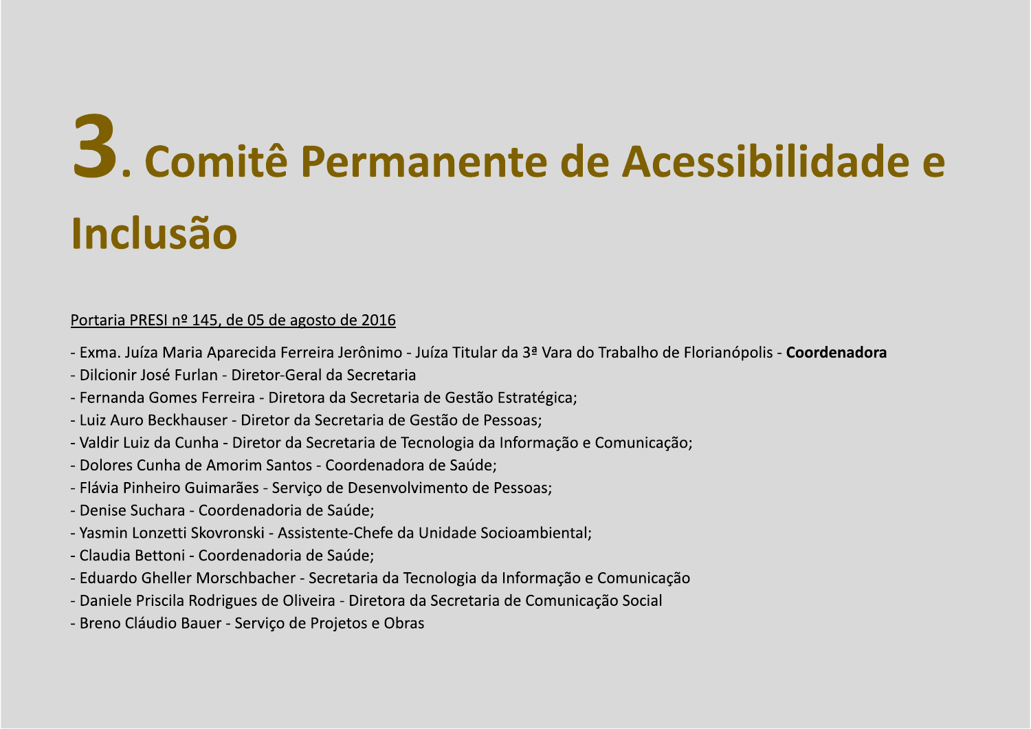# **3.** Comité Permanente de Sols de 1970<br>
Portaine PRESI nº 115, de 05 de agosto de 2016<br>
Portaine PRESI nº 115, de 05 de agosto de 2016<br>
- Exmanulata Navia Aparec da Ferreira lerônimo - Julia I Rular da 3º Vara do Trabalho **Comité Permanente de Sacre**<br>
Francisco Comité de Permanente de Acessibilitative<br>
Francisco Comité de Sacretia de 2016<br>
- Exmanular Aparel de Sacretia de 2016<br>
- Exmanular Aparel de Sacretia de Secretia de Castão Estratégi **Comité Permanente de Acessibilidade de Mandaton de Santa Caractería de Constantinopolis - Coordenadora<br>
Encranaciones de 2013 de aposto de 2015<br>
Forma Julia Maria Agorecida Ferreira Jerónimo - Juta Titular da 34 Vara do T 3.** Comité Permanente de Acessibilidade e<br>
Inclusão<br>
entante presenta de acesso de acesso de 2016<br>
- Entre la disposición de acesso de 2016<br>
- Entre la disposición de acesso de 2016<br>
- Entre la disposición de contra de ac **33. Comité Permanente de Sacre (1948)**<br> **Inclusión de Permanente de Acessibilidade e**<br> **Inclusión de Sacre de Sacre de Sacre de Sacre (1949)**<br> **Example 145. de 0.5 de acestra de 2016**<br> **Example 145. de 0.5 de acestra de S INENTE de Acessibilidade e<br>
Mente de Macesino de Florianópolis - Coordenadora<br>
de Gestão Estratégica;<br>
estão de Pessoas;<br>
estão de Pessoas;<br>
ates Galici;<br>
mento de Pessoas;<br>
mento de Pessoas;<br>
Inidade Socioambiental;<br>
And 3.** Comité Permanente de Acessibilidade e<br>
Inclusão<br>
Portaria PRESIA<sup>na</sup> MS, de 05 de agosto de 2015<br>
- Dama, Máxi Maria Aparedia Ferreira Leónimo - Máxi Titular da 3ª Vara do Tabalho de Borianópulo - Coordenadora<br>
- Dici **Production Production Control Control Control Control Control Control Control Control Control Control Control Control Control Control Control Control Control Control Control Control Control Control Control Control Control**

- 
- 
- 
- 
- 
- 
- 
- 
- 
- 
- 
- 
-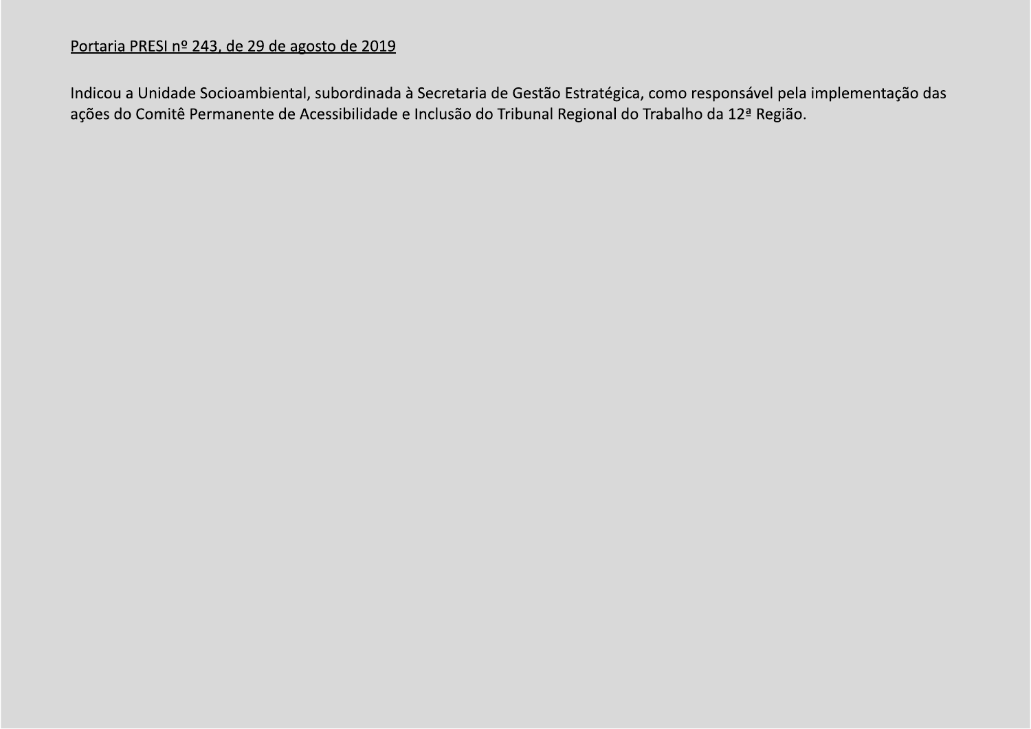### Portaria PRESI nº 243, de 29 de agosto de 2019

Indicou a Unidade Socioambiental, subordinada à Secretaria de Gestão Estratégica, como responsável pela implementação das ações do Comitê Permanente de Acessibilidade e Inclusão do Tribunal Regional do Trabalho da 12ª Região.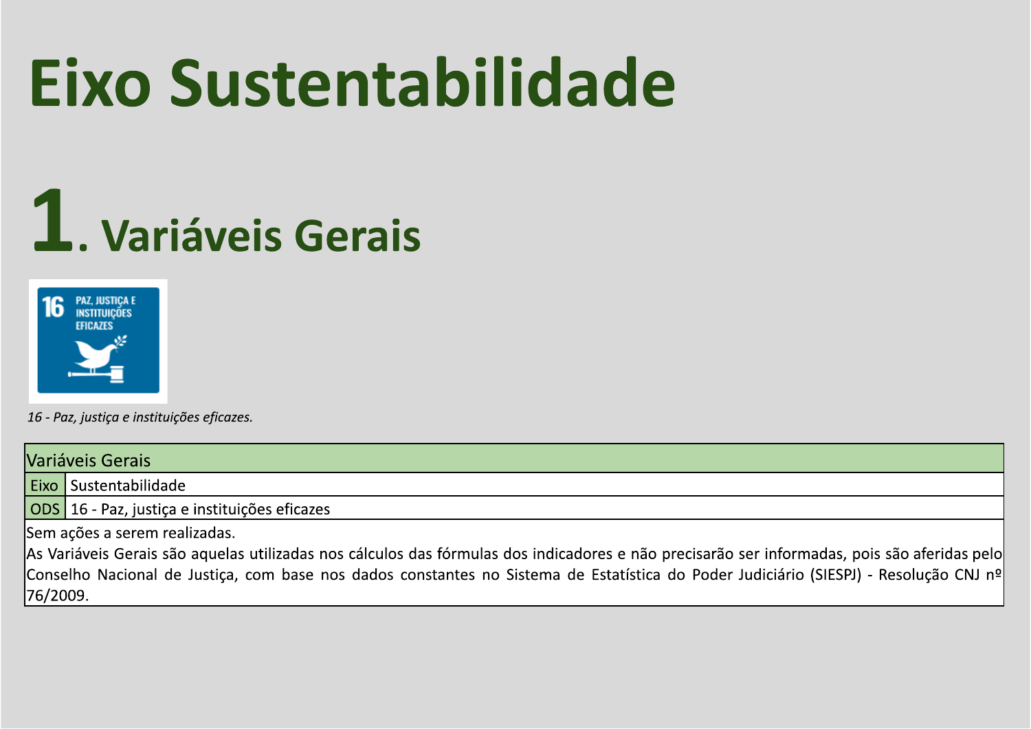### Eixo Sustentabilidade

### 1. Variáveis Gerais



16 - Paz, justiça e instituições eficazes.

|           | Variáveis Gerais                                                                                                                             |  |  |  |  |  |  |  |
|-----------|----------------------------------------------------------------------------------------------------------------------------------------------|--|--|--|--|--|--|--|
|           | <b>Eixo</b> Sustentabilidade                                                                                                                 |  |  |  |  |  |  |  |
|           | ODS 16 - Paz, justiça e instituições eficazes                                                                                                |  |  |  |  |  |  |  |
|           | Sem ações a serem realizadas.                                                                                                                |  |  |  |  |  |  |  |
|           | As Variáveis Gerais são aquelas utilizadas nos cálculos das fórmulas dos indicadores e não precisarão ser informadas, pois são aferidas pelo |  |  |  |  |  |  |  |
|           | Conselho Nacional de Justiça, com base nos dados constantes no Sistema de Estatística do Poder Judiciário (SIESPJ) - Resolução CNJ nºl       |  |  |  |  |  |  |  |
| 176/2009. |                                                                                                                                              |  |  |  |  |  |  |  |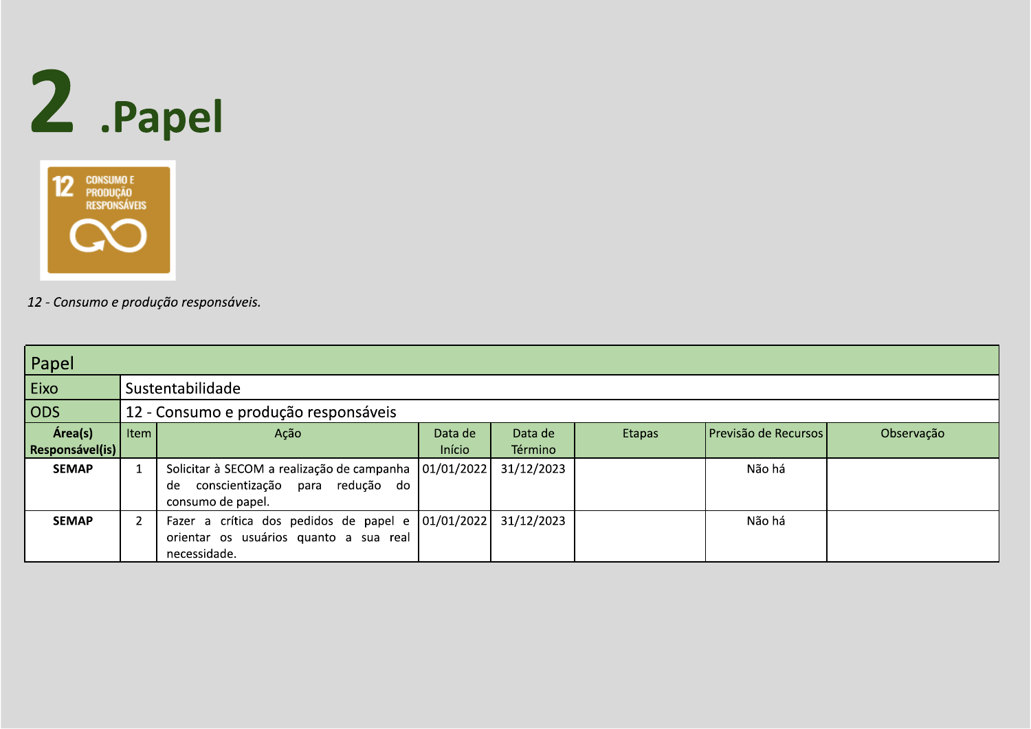



| Papel                      |      |                                                                                                             |                   |                    |        |                      |            |  |  |
|----------------------------|------|-------------------------------------------------------------------------------------------------------------|-------------------|--------------------|--------|----------------------|------------|--|--|
| Eixo                       |      | Sustentabilidade                                                                                            |                   |                    |        |                      |            |  |  |
| $ $ ODS                    |      | 12 - Consumo e produção responsáveis                                                                        |                   |                    |        |                      |            |  |  |
| Área(s)<br>Responsável(is) | Item | Ação                                                                                                        | Data de<br>Início | Data de<br>Término | Etapas | Previsão de Recursos | Observação |  |  |
| <b>SEMAP</b>               |      | Solicitar à SECOM a realização de campanha<br>conscientização para redução do<br>de<br>consumo de papel.    | 01/01/2022        | 31/12/2023         |        | Não há               |            |  |  |
| <b>SEMAP</b>               |      | Fazer a crítica dos pedidos de papel e 01/01/2022<br>orientar os usuários quanto a sua real<br>necessidade. |                   | 31/12/2023         |        | Não há               |            |  |  |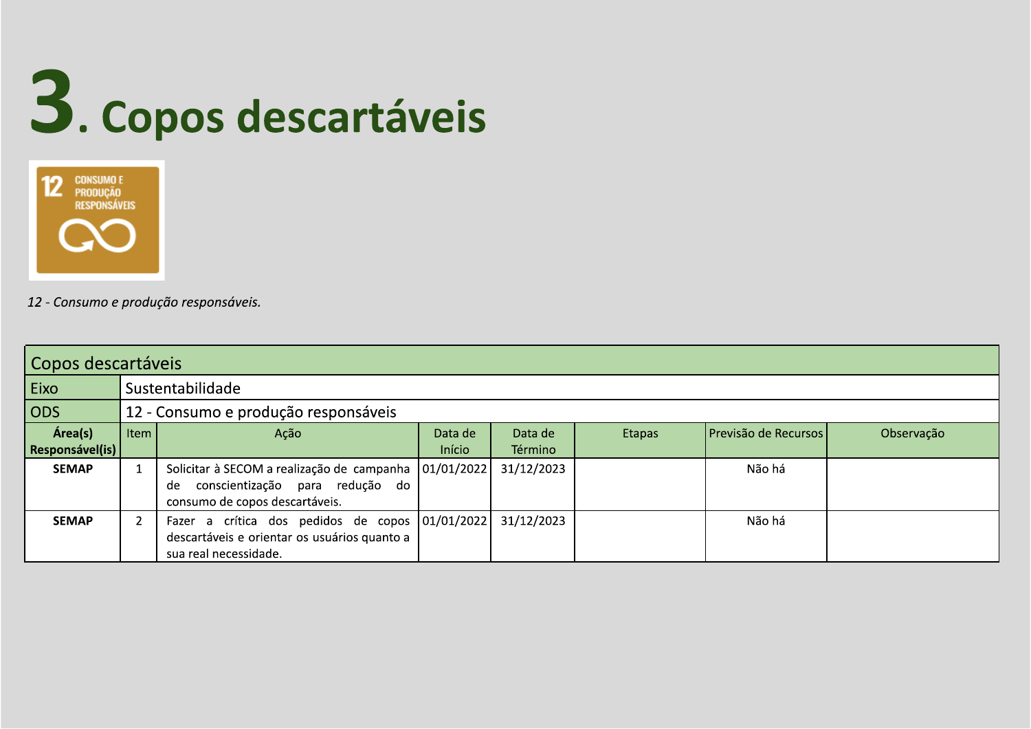



| Copos descartáveis         |      |                                                                                                                                      |                   |                    |        |                      |            |  |  |
|----------------------------|------|--------------------------------------------------------------------------------------------------------------------------------------|-------------------|--------------------|--------|----------------------|------------|--|--|
| Eixo                       |      | Sustentabilidade                                                                                                                     |                   |                    |        |                      |            |  |  |
| $\overline{\text{ODS}}$    |      | 12 - Consumo e produção responsáveis                                                                                                 |                   |                    |        |                      |            |  |  |
| Área(s)<br>Responsável(is) | Item | Ação                                                                                                                                 | Data de<br>Início | Data de<br>Término | Etapas | Previsão de Recursos | Observação |  |  |
| <b>SEMAP</b>               |      | Solicitar à SECOM a realização de campanha   01/01/2022  <br>conscientização para redução do<br>de<br>consumo de copos descartáveis. |                   | 31/12/2023         |        | Não há               |            |  |  |
| <b>SEMAP</b>               |      | Fazer a crítica dos pedidos de copos 01/01/2022<br>descartáveis e orientar os usuários quanto a<br>sua real necessidade.             |                   | 31/12/2023         |        | Não há               |            |  |  |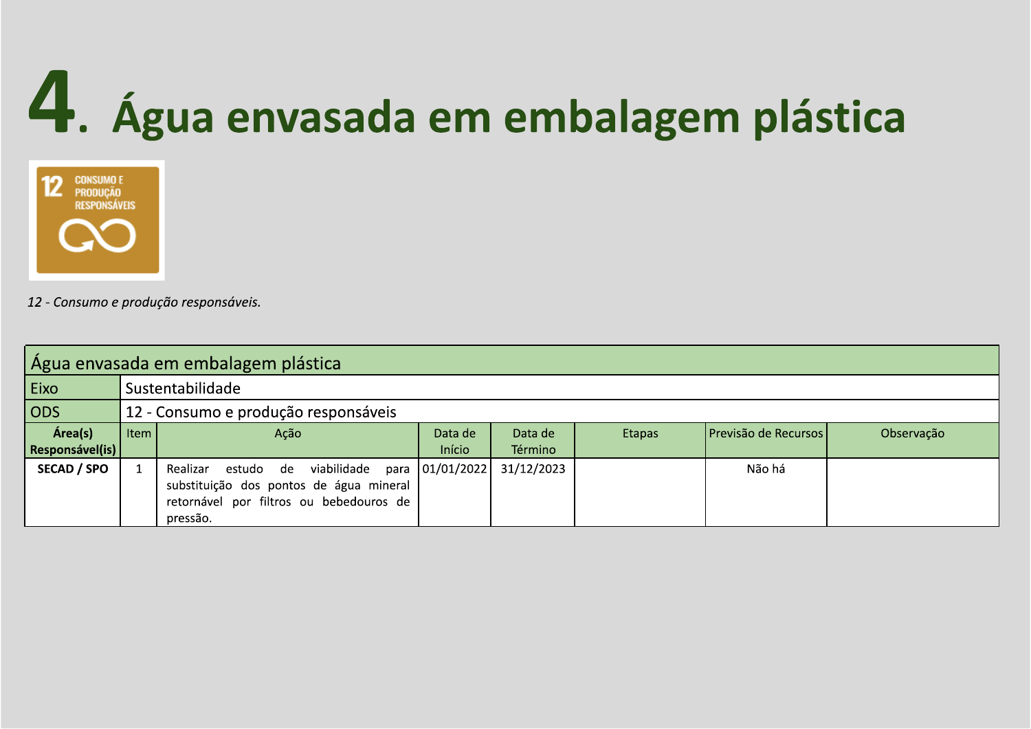# 4. Água envasada em embalagem plástica



| Agua envasada em embalagem plástica |                                         |                                         |                   |            |        |                      |            |  |  |  |
|-------------------------------------|-----------------------------------------|-----------------------------------------|-------------------|------------|--------|----------------------|------------|--|--|--|
| Eixo                                |                                         | Sustentabilidade                        |                   |            |        |                      |            |  |  |  |
| <b>ODS</b>                          |                                         | 12 - Consumo e produção responsáveis    |                   |            |        |                      |            |  |  |  |
| Área(s)                             | Item                                    | Ação                                    | Data de           | Data de    | Etapas | Previsão de Recursos | Observação |  |  |  |
| <b>Responsável(is)</b>              |                                         |                                         | Início            | Término    |        |                      |            |  |  |  |
| <b>SECAD / SPO</b>                  |                                         | viabilidade<br>estudo de<br>Realizar    | para   01/01/2022 | 31/12/2023 |        | Não há               |            |  |  |  |
|                                     | substituição dos pontos de água mineral |                                         |                   |            |        |                      |            |  |  |  |
|                                     |                                         | retornável por filtros ou bebedouros de |                   |            |        |                      |            |  |  |  |
|                                     |                                         | pressão.                                |                   |            |        |                      |            |  |  |  |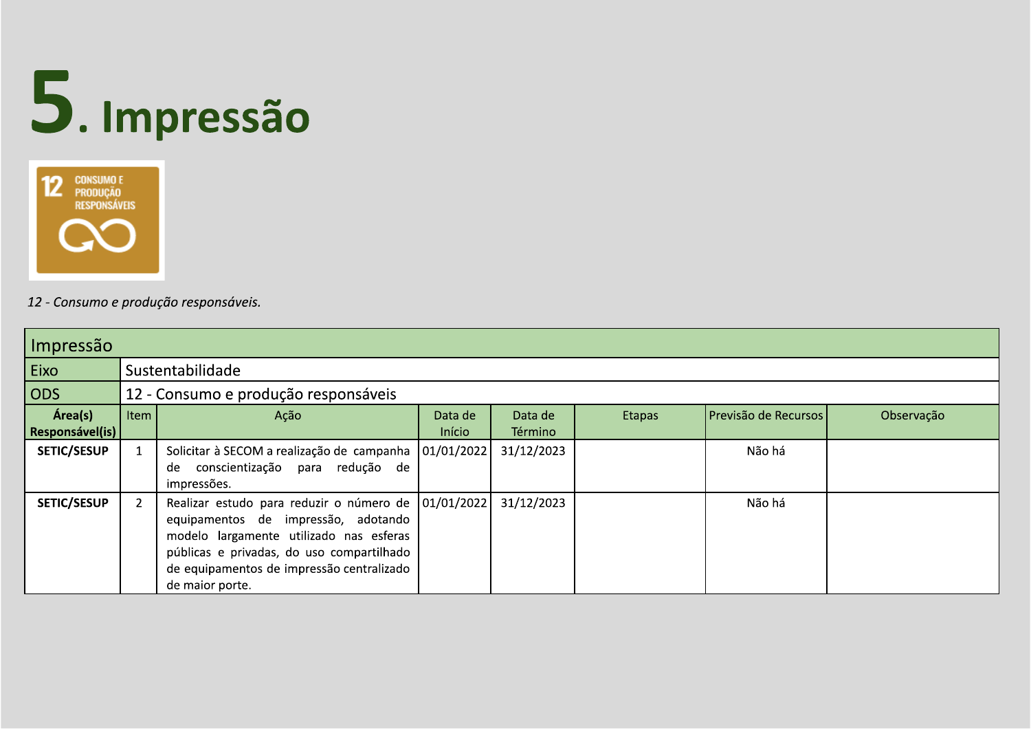## 5. Impressão



| Impressão                    |      |                                                                                                                                                                                                                                                        |                   |                    |        |                      |            |  |  |
|------------------------------|------|--------------------------------------------------------------------------------------------------------------------------------------------------------------------------------------------------------------------------------------------------------|-------------------|--------------------|--------|----------------------|------------|--|--|
| Eixo                         |      | Sustentabilidade                                                                                                                                                                                                                                       |                   |                    |        |                      |            |  |  |
| ODS                          |      | 12 - Consumo e produção responsáveis                                                                                                                                                                                                                   |                   |                    |        |                      |            |  |  |
| Área(s)<br>  Responsável(is) | Item | Ação                                                                                                                                                                                                                                                   | Data de<br>Início | Data de<br>Término | Etapas | Previsão de Recursos | Observação |  |  |
| <b>SETIC/SESUP</b>           |      | Solicitar à SECOM a realização de campanha<br>conscientização para redução de<br>de<br>impressões.                                                                                                                                                     | 01/01/2022        | 31/12/2023         |        | Não há               |            |  |  |
| <b>SETIC/SESUP</b>           |      | Realizar estudo para reduzir o número de   01/01/2022  <br>equipamentos de impressão, adotando<br>modelo largamente utilizado nas esferas<br>públicas e privadas, do uso compartilhado<br>de equipamentos de impressão centralizado<br>de maior porte. |                   | 31/12/2023         |        | Não há               |            |  |  |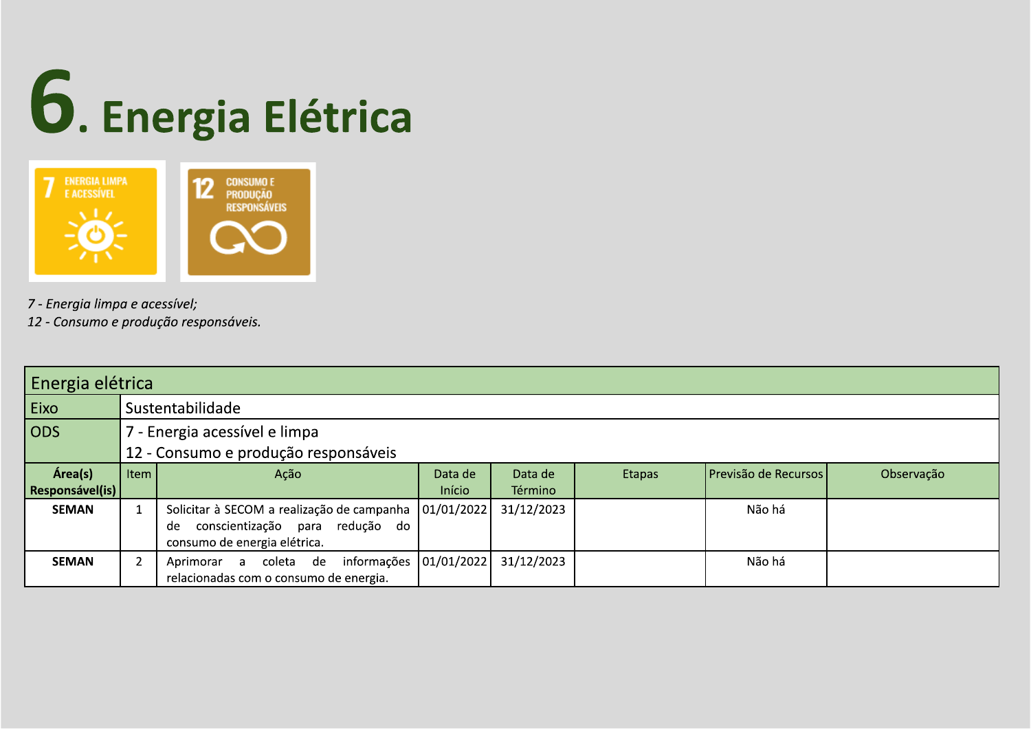# 6. Energia Elétrica



7 - Energia limpa e acessível;

| Energia elétrica                   |      |                                                                                                                     |                   |                    |        |                      |            |  |  |
|------------------------------------|------|---------------------------------------------------------------------------------------------------------------------|-------------------|--------------------|--------|----------------------|------------|--|--|
| Eixo                               |      | Sustentabilidade                                                                                                    |                   |                    |        |                      |            |  |  |
| $\overline{\overline{\text{ODS}}}$ |      | 7 - Energia acessível e limpa                                                                                       |                   |                    |        |                      |            |  |  |
|                                    |      | 12 - Consumo e produção responsáveis                                                                                |                   |                    |        |                      |            |  |  |
| Área(s)<br>Responsável(is)         | Item | Ação                                                                                                                | Data de<br>Início | Data de<br>Término | Etapas | Previsão de Recursos | Observação |  |  |
| <b>SEMAN</b>                       |      | Solicitar à SECOM a realização de campanha<br>conscientização para redução do<br>de<br>consumo de energia elétrica. | 01/01/2022        | 31/12/2023         |        | Não há               |            |  |  |
| <b>SEMAN</b>                       |      | informações<br>Aprimorar a coleta de<br>relacionadas com o consumo de energia.                                      | 01/01/2022        | 31/12/2023         |        | Não há               |            |  |  |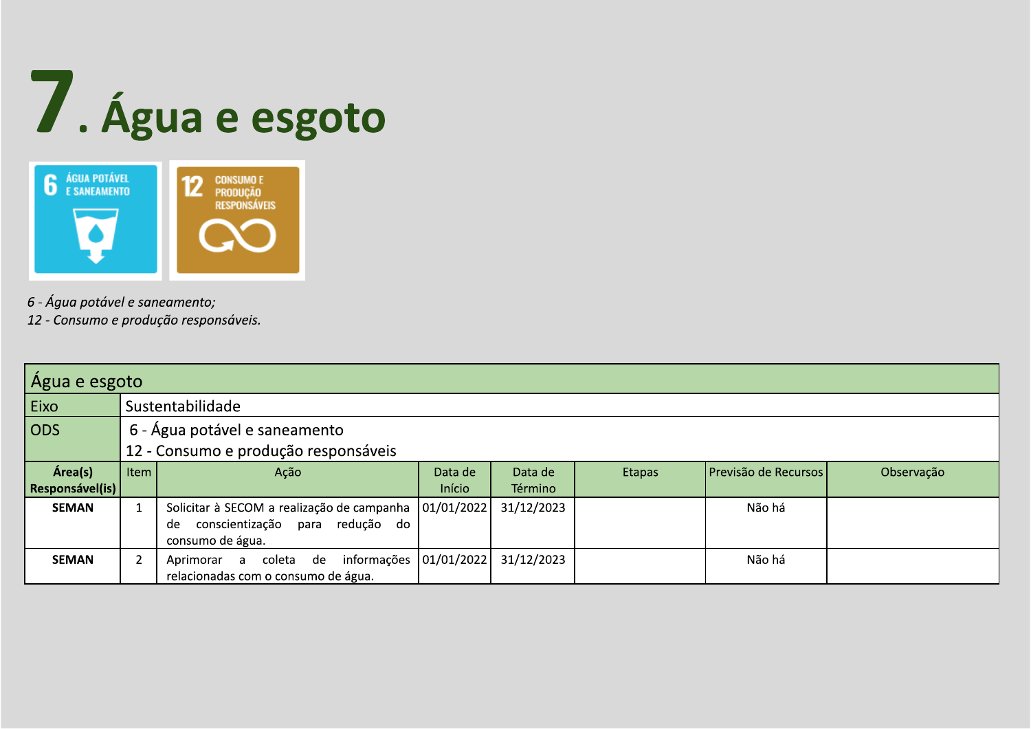



- 6 Água potável e saneamento;
- 12 Consumo e produção responsáveis.

| Água e esgoto                      |      |                                            |            |            |               |                      |            |  |  |
|------------------------------------|------|--------------------------------------------|------------|------------|---------------|----------------------|------------|--|--|
| Eixo                               |      | Sustentabilidade                           |            |            |               |                      |            |  |  |
| $\overline{\overline{\text{ODS}}}$ |      | 6 - Água potável e saneamento              |            |            |               |                      |            |  |  |
|                                    |      | 12 - Consumo e produção responsáveis       |            |            |               |                      |            |  |  |
| Área(s)                            | Item | Ação                                       | Data de    | Data de    | <b>Etapas</b> | Previsão de Recursos | Observação |  |  |
| Responsável(is)                    |      |                                            | Início     | Término    |               |                      |            |  |  |
| <b>SEMAN</b>                       |      | Solicitar à SECOM a realização de campanha | 01/01/2022 | 31/12/2023 |               | Não há               |            |  |  |
|                                    |      | conscientização<br>para redução do<br>de   |            |            |               |                      |            |  |  |
|                                    |      | consumo de água.                           |            |            |               |                      |            |  |  |
| <b>SEMAN</b>                       |      | informações<br>Aprimorar a coleta de       | 01/01/2022 | 31/12/2023 |               | Não há               |            |  |  |
|                                    |      | relacionadas com o consumo de água.        |            |            |               |                      |            |  |  |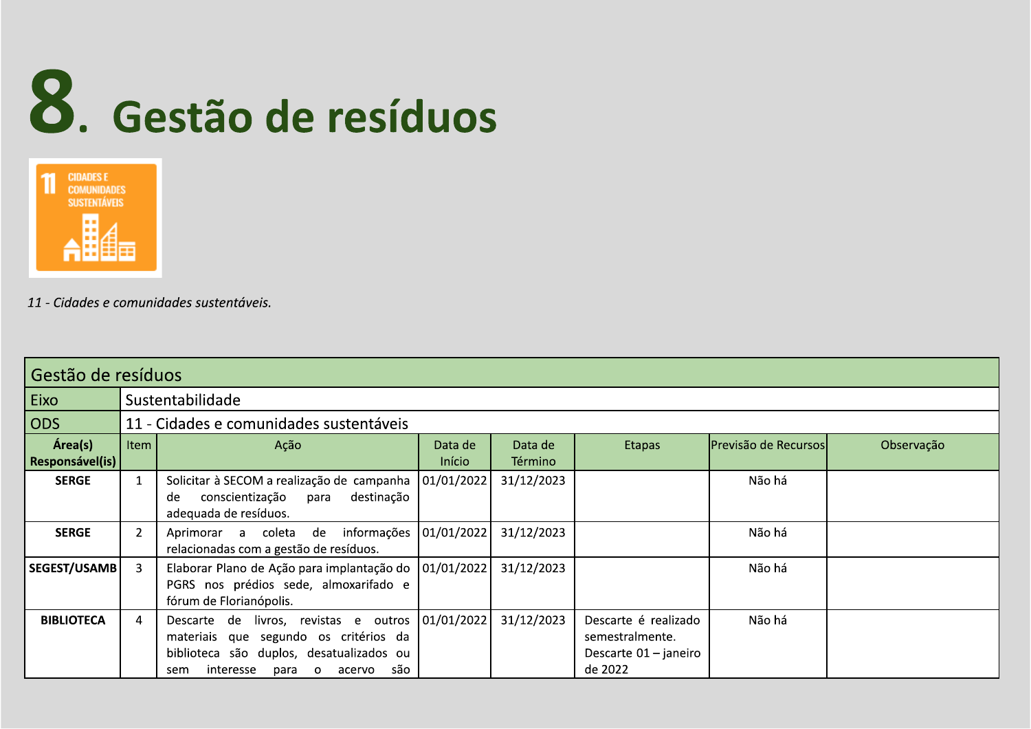



11 - Cidades e comunidades sustentáveis.

|                            | l Gestão de resíduos |                                                                                                                                                                                    |                   |                    |                                                                               |                        |            |  |  |  |
|----------------------------|----------------------|------------------------------------------------------------------------------------------------------------------------------------------------------------------------------------|-------------------|--------------------|-------------------------------------------------------------------------------|------------------------|------------|--|--|--|
| Eixo                       |                      | Sustentabilidade                                                                                                                                                                   |                   |                    |                                                                               |                        |            |  |  |  |
| ODS                        |                      | 11 - Cidades e comunidades sustentáveis                                                                                                                                            |                   |                    |                                                                               |                        |            |  |  |  |
| Área(s)<br>Responsável(is) | Item                 | Ação                                                                                                                                                                               | Data de<br>Início | Data de<br>Término | <b>Etapas</b>                                                                 | lPrevisão de Recursosl | Observação |  |  |  |
| <b>SERGE</b>               |                      | Solicitar à SECOM a realização de campanha<br>destinação<br>conscientização<br>para<br>de<br>adequada de resíduos.                                                                 | 01/01/2022        | 31/12/2023         |                                                                               | Não há                 |            |  |  |  |
| <b>SERGE</b>               | $\overline{2}$       | Aprimorar a coleta de<br>informações<br>relacionadas com a gestão de resíduos.                                                                                                     | 01/01/2022        | 31/12/2023         |                                                                               | Não há                 |            |  |  |  |
| SEGEST/USAMB               | 3                    | Elaborar Plano de Ação para implantação do<br>PGRS nos prédios sede, almoxarifado e<br>fórum de Florianópolis.                                                                     | 01/01/2022        | 31/12/2023         |                                                                               | Não há                 |            |  |  |  |
| <b>BIBLIOTECA</b>          | 4                    | Descarte de livros, revistas e outros<br>materiais que segundo os critérios da<br>biblioteca são duplos, desatualizados ou<br>interesse<br>são<br>para<br>acervo<br>$\circ$<br>sem | 01/01/2022        | 31/12/2023         | Descarte é realizado<br>semestralmente.<br>Descarte $01 -$ janeiro<br>de 2022 | Não há                 |            |  |  |  |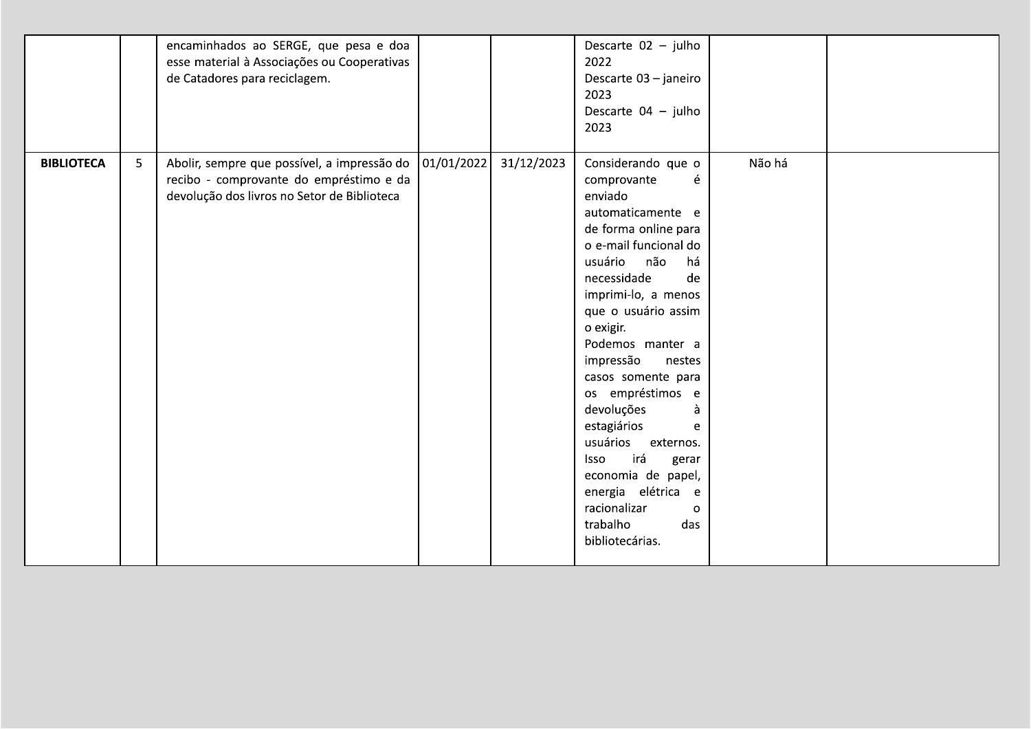|                   |   | encaminhados ao SERGE, que pesa e doa<br>esse material à Associações ou Cooperativas<br>de Catadores para reciclagem.                 |            |            | Descarte 02 - julho<br>2022<br>Descarte 03 - janeiro<br>2023<br>Descarte 04 - julho<br>2023                                                                                                                                                                                                                                                                                                                                                                                                                                 |        |  |
|-------------------|---|---------------------------------------------------------------------------------------------------------------------------------------|------------|------------|-----------------------------------------------------------------------------------------------------------------------------------------------------------------------------------------------------------------------------------------------------------------------------------------------------------------------------------------------------------------------------------------------------------------------------------------------------------------------------------------------------------------------------|--------|--|
| <b>BIBLIOTECA</b> | 5 | Abolir, sempre que possível, a impressão do<br>recibo - comprovante do empréstimo e da<br>devolução dos livros no Setor de Biblioteca | 01/01/2022 | 31/12/2023 | Considerando que o<br>comprovante<br>é<br>enviado<br>automaticamente e<br>de forma online para<br>o e-mail funcional do<br>usuário não<br>há<br>necessidade<br>de<br>imprimi-lo, a menos<br>que o usuário assim<br>o exigir.<br>Podemos manter a<br>impressão<br>nestes<br>casos somente para<br>os empréstimos e<br>devoluções<br>à<br>estagiários<br>e<br>usuários externos.<br>irá<br><b>Isso</b><br>gerar<br>economia de papel,<br>energia elétrica e<br>racionalizar<br>$\Omega$<br>trabalho<br>das<br>bibliotecárias. | Não há |  |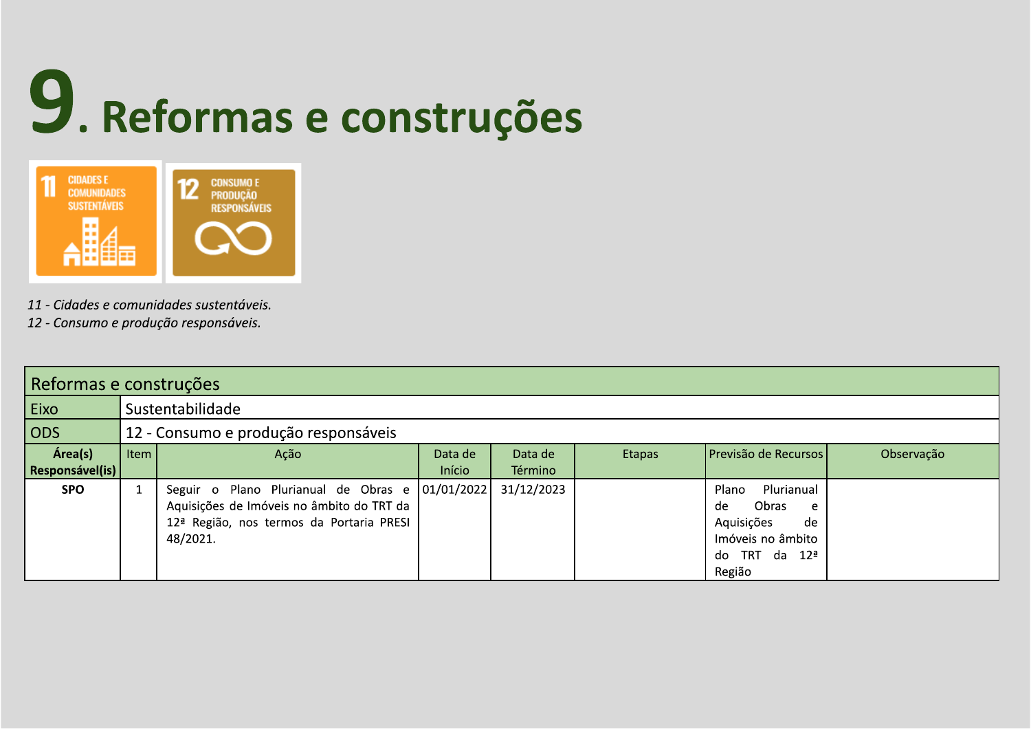

- 
- 

| 49. Reformas e construções<br>CIDADES E<br>COMUNIDADES<br>SUSTENTÁVEIS<br><b>12</b> CONSUMO E PRODUÇÃO<br>$\overline{AB}$<br>11 - Cidades e comunidades sustentáveis.<br>12 - Consumo e produção responsáveis.<br>Reformas e construções<br>$\vert$ Eixo<br>Sustentabilidade<br>$ $ ODS<br>12 - Consumo e produção responsáveis<br>Área(s)<br>  Item $\vert$<br>Previsão de Recursos<br>Data de<br>Observação<br>Data de<br>Etapas<br>Ação |
|--------------------------------------------------------------------------------------------------------------------------------------------------------------------------------------------------------------------------------------------------------------------------------------------------------------------------------------------------------------------------------------------------------------------------------------------|
| Responsável(is)<br>Início<br>Término<br>Seguir o Plano Plurianual de Obras e $ 01/01/2022 31/12/2023 $<br>Plano Plurianual<br><b>SPO</b><br>Aquisições de Imóveis no âmbito do TRT da $\vert$<br>$de$ Obras e<br>12 <sup>ª</sup> Região, nos termos da Portaria PRESI  <br>Aquisições<br>de<br>Imóveis no âmbito $\vert$<br>48/2021.<br>do TRT da 12ª $\vert$<br>Região                                                                    |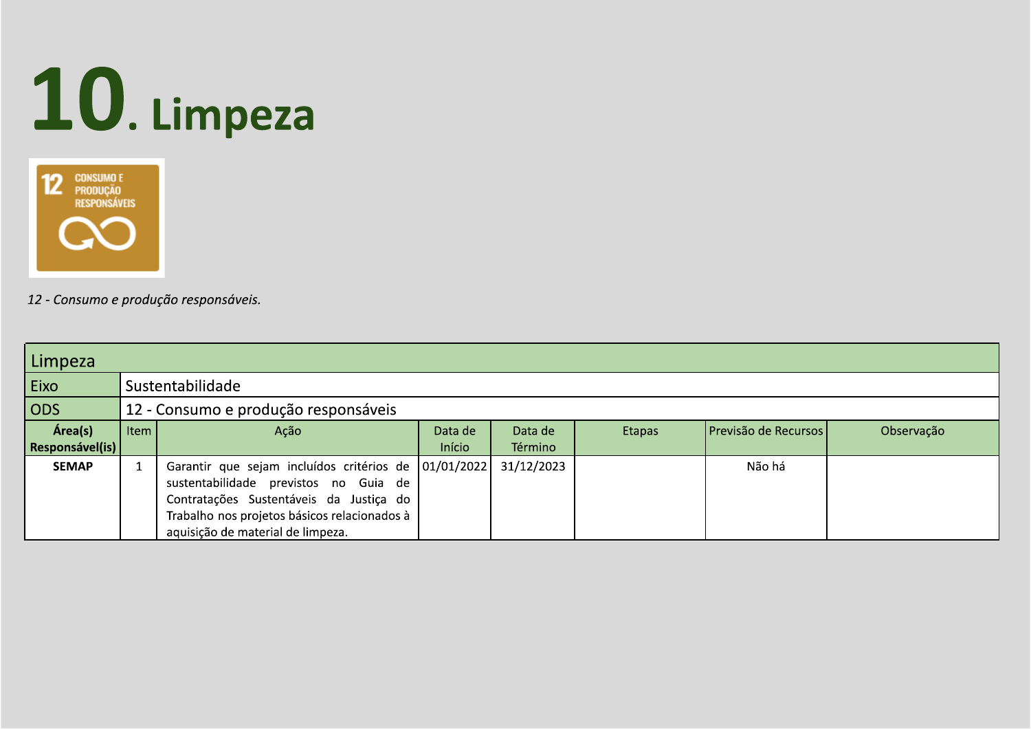



| 10. Limpeza<br><b>12</b> CONSUMO E<br>PRODUÇÃO<br>RESPONSÁVEIS<br><b>CO</b><br>12 - Consumo e produção responsáveis.<br>Limpeza                                                                                                                                                                                                                                                                                                                                                                                                 |
|---------------------------------------------------------------------------------------------------------------------------------------------------------------------------------------------------------------------------------------------------------------------------------------------------------------------------------------------------------------------------------------------------------------------------------------------------------------------------------------------------------------------------------|
| Sustentabilidade<br>$\vert$ Eixo<br>ODS<br>12 - Consumo e produção responsáveis<br>Previsão de Recursos<br>Área(s)<br>  Item $\vert$<br>Data de<br>Observação<br>Data de<br>Etapas<br>Ação<br>Término<br>Início<br><b>Responsável(is)</b><br>Garantir que sejam incluídos critérios de $\vert$ 01/01/2022 31/12/2023<br><b>SEMAP</b><br>Não há<br>sustentabilidade previstos no Guia de<br>Contratações Sustentáveis da Justiça do<br>Trabalho nos projetos básicos relacionados à $\vert$<br>aquisição de material de limpeza. |
|                                                                                                                                                                                                                                                                                                                                                                                                                                                                                                                                 |
|                                                                                                                                                                                                                                                                                                                                                                                                                                                                                                                                 |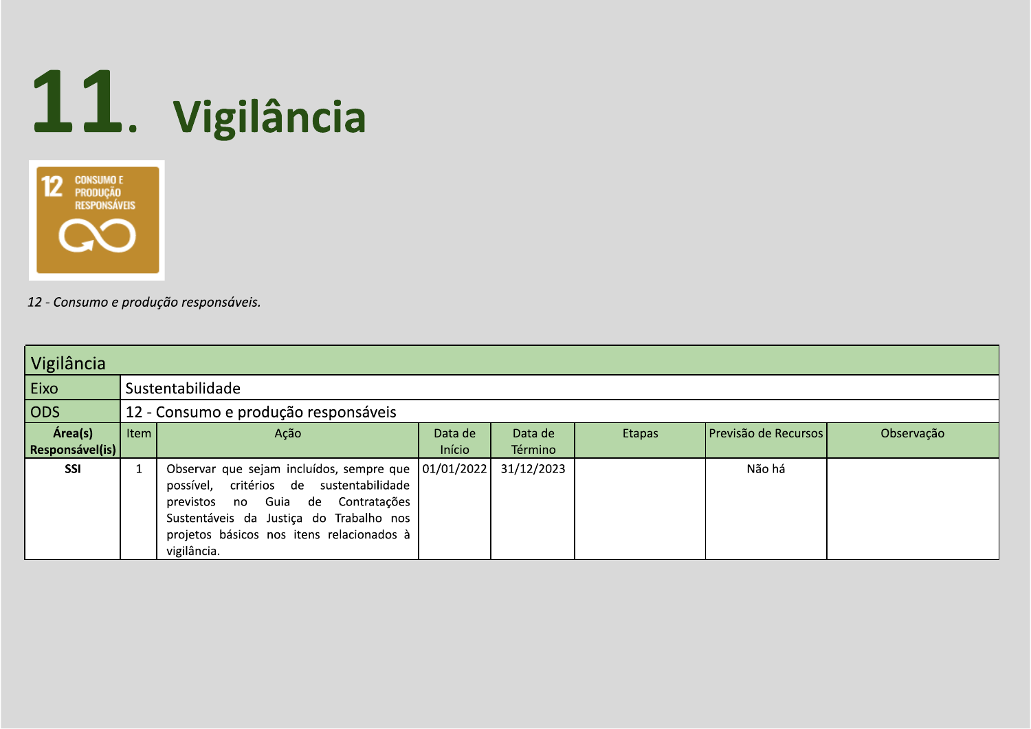

| Vigilância                 |      |                                                                                                                                                                                                                                                |                   |                    |        |                      |            |  |  |
|----------------------------|------|------------------------------------------------------------------------------------------------------------------------------------------------------------------------------------------------------------------------------------------------|-------------------|--------------------|--------|----------------------|------------|--|--|
| Eixo                       |      | Sustentabilidade                                                                                                                                                                                                                               |                   |                    |        |                      |            |  |  |
| ODS                        |      | 12 - Consumo e produção responsáveis                                                                                                                                                                                                           |                   |                    |        |                      |            |  |  |
| Área(s)<br>Responsável(is) | Item | Ação                                                                                                                                                                                                                                           | Data de<br>Início | Data de<br>Término | Etapas | Previsão de Recursos | Observação |  |  |
| <b>SSI</b>                 |      | Observar que sejam incluídos, sempre que   01/01/2022  <br>possível, critérios de sustentabilidade<br>previstos no Guia de Contratações<br>Sustentáveis da Justiça do Trabalho nos<br>projetos básicos nos itens relacionados à<br>vigilância. |                   | 31/12/2023         |        | Não há               |            |  |  |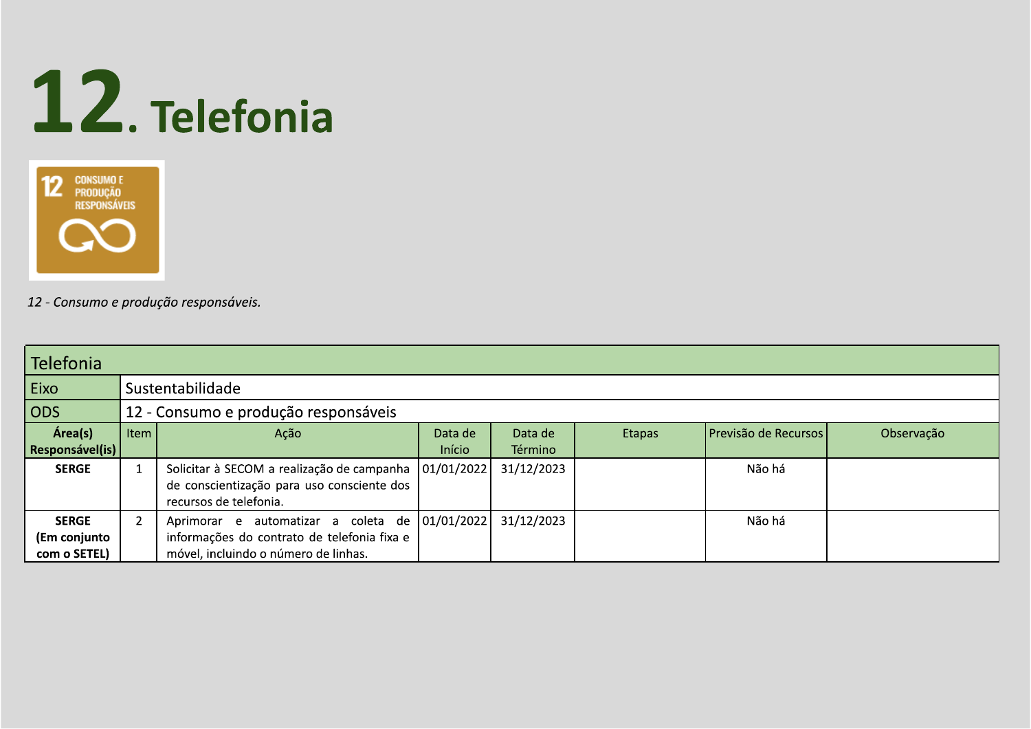



| <b>Telefonia</b>                             |      |                                                                                                                            |                   |                           |        |                      |            |  |  |
|----------------------------------------------|------|----------------------------------------------------------------------------------------------------------------------------|-------------------|---------------------------|--------|----------------------|------------|--|--|
| Eixo                                         |      | Sustentabilidade                                                                                                           |                   |                           |        |                      |            |  |  |
| <b>ODS</b>                                   |      | 12 - Consumo e produção responsáveis                                                                                       |                   |                           |        |                      |            |  |  |
| Área(s)<br>Responsável(is)                   | Item | Ação                                                                                                                       | Data de<br>Início | Data de<br><b>Término</b> | Etapas | Previsão de Recursos | Observação |  |  |
| <b>SERGE</b>                                 |      | Solicitar à SECOM a realização de campanha<br>de conscientização para uso consciente dos<br>recursos de telefonia.         | 01/01/2022        | 31/12/2023                |        | Não há               |            |  |  |
| <b>SERGE</b><br>(Em conjunto<br>com o SETEL) |      | Aprimorar e automatizar a coleta de<br>informações do contrato de telefonia fixa e<br>móvel, incluindo o número de linhas. | 01/01/2022        | 31/12/2023                |        | Não há               |            |  |  |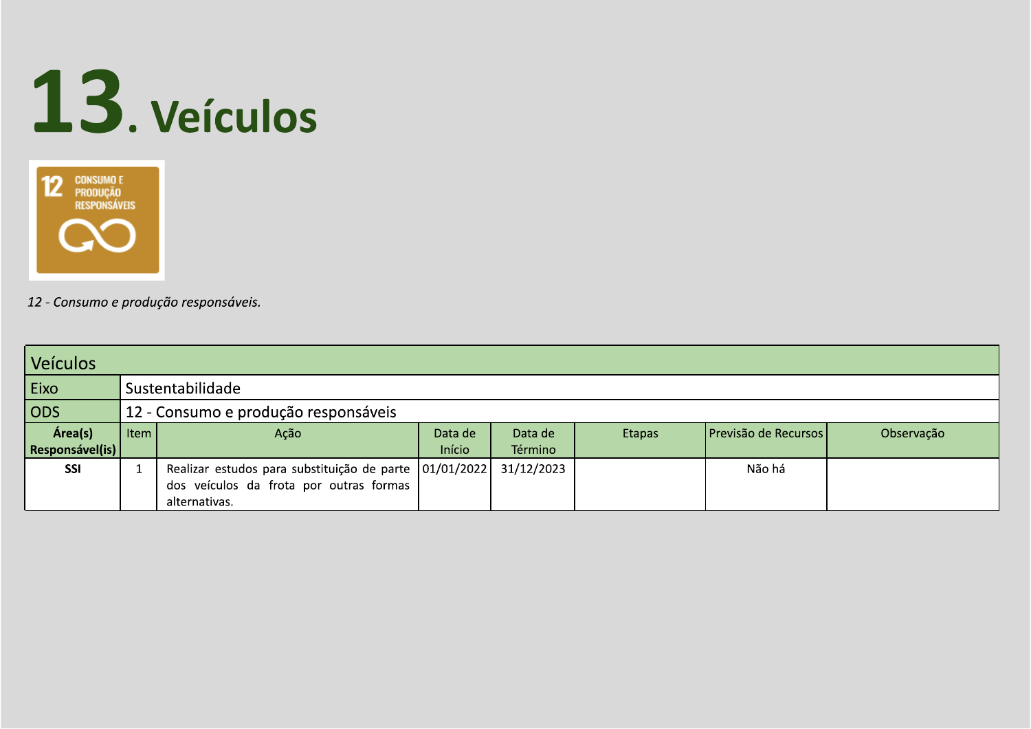



| <b>Veículos</b>            |      |                                                          |                   |                    |               |                      |            |  |  |
|----------------------------|------|----------------------------------------------------------|-------------------|--------------------|---------------|----------------------|------------|--|--|
| Eixo                       |      | Sustentabilidade                                         |                   |                    |               |                      |            |  |  |
| <b>ODS</b>                 |      | 12 - Consumo e produção responsáveis                     |                   |                    |               |                      |            |  |  |
| Área(s)<br>Responsável(is) | Item | Ação                                                     | Data de<br>Início | Data de<br>Término | <b>Etapas</b> | Previsão de Recursos | Observação |  |  |
|                            |      |                                                          |                   |                    |               |                      |            |  |  |
| <b>SSI</b>                 |      | Realizar estudos para substituição de parte   01/01/2022 |                   | 31/12/2023         |               | Não há               |            |  |  |
|                            |      | dos veículos da frota por outras formas                  |                   |                    |               |                      |            |  |  |
|                            |      | alternativas.                                            |                   |                    |               |                      |            |  |  |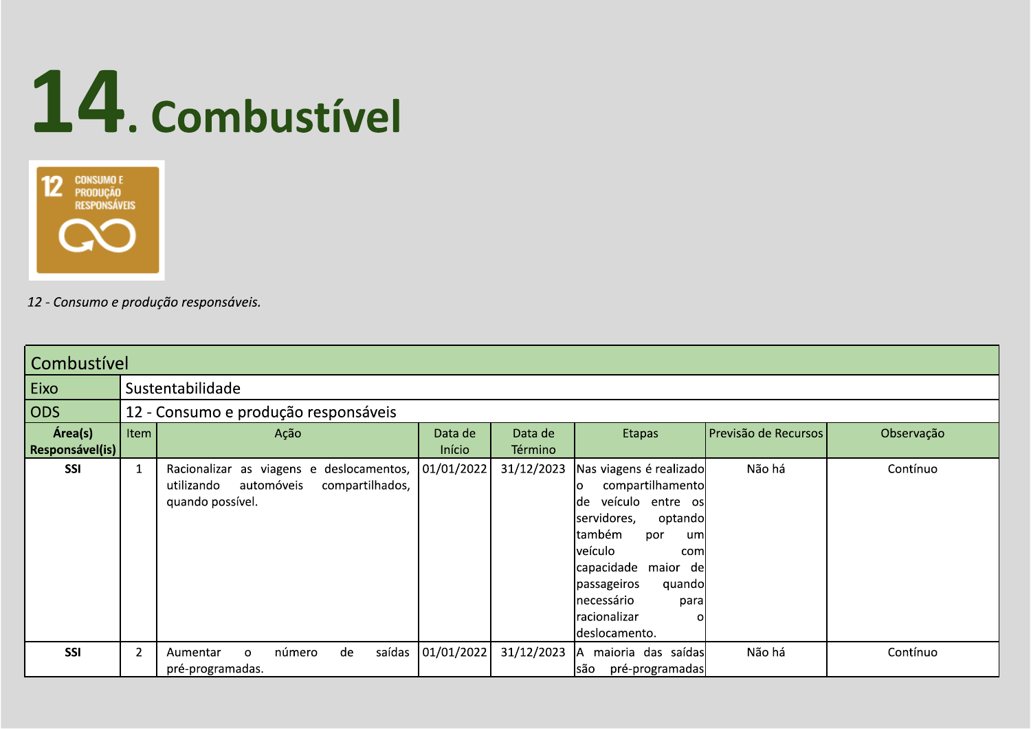



| Combustível                       |                |                                                                                                                        |                     |                    |                                                                                                                                                                                                                                                                           |                      |            |  |  |
|-----------------------------------|----------------|------------------------------------------------------------------------------------------------------------------------|---------------------|--------------------|---------------------------------------------------------------------------------------------------------------------------------------------------------------------------------------------------------------------------------------------------------------------------|----------------------|------------|--|--|
| Eixo                              |                | Sustentabilidade                                                                                                       |                     |                    |                                                                                                                                                                                                                                                                           |                      |            |  |  |
| ODS                               |                | 12 - Consumo e produção responsáveis                                                                                   |                     |                    |                                                                                                                                                                                                                                                                           |                      |            |  |  |
| Área(s)<br><b>Responsável(is)</b> | Item           | Ação                                                                                                                   | Data de<br>Início   | Data de<br>Término | <b>Etapas</b>                                                                                                                                                                                                                                                             | Previsão de Recursos | Observação |  |  |
| <b>SSI</b>                        |                | Racionalizar as viagens e deslocamentos, 01/01/2022<br>utilizando<br>compartilhados,<br>automóveis<br>quando possível. |                     | 31/12/2023         | Nas viagens é realizado<br>compartilhamento<br>ΙO<br>veículo entre os<br>lde<br>servidores,<br>optando<br>também<br>por<br>um<br><i>veículo</i><br>com<br>capacidade maior<br>de<br>passageiros<br>quando<br><b>Inecessário</b><br>para<br> racionalizar<br>deslocamento. | Não há               | Contínuo   |  |  |
| <b>SSI</b>                        | $\overline{2}$ | de<br>número<br>Aumentar<br>$\Omega$<br>pré-programadas.                                                               | saídas   01/01/2022 | 31/12/2023         | maioria das saídas<br>ΙA<br>lsão<br>pré-programadas                                                                                                                                                                                                                       | Não há               | Contínuo   |  |  |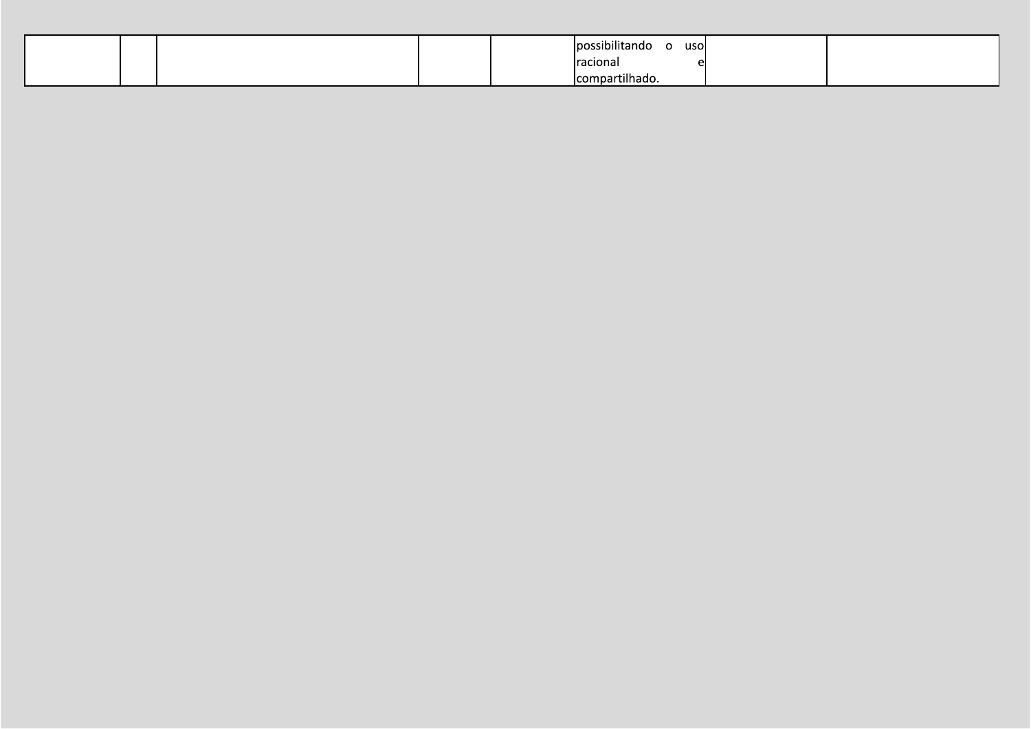|  |  | usol<br><u>lpossibilitando</u><br>$\sim$<br>. . |  |
|--|--|-------------------------------------------------|--|
|  |  | racional                                        |  |
|  |  | compartilhado.                                  |  |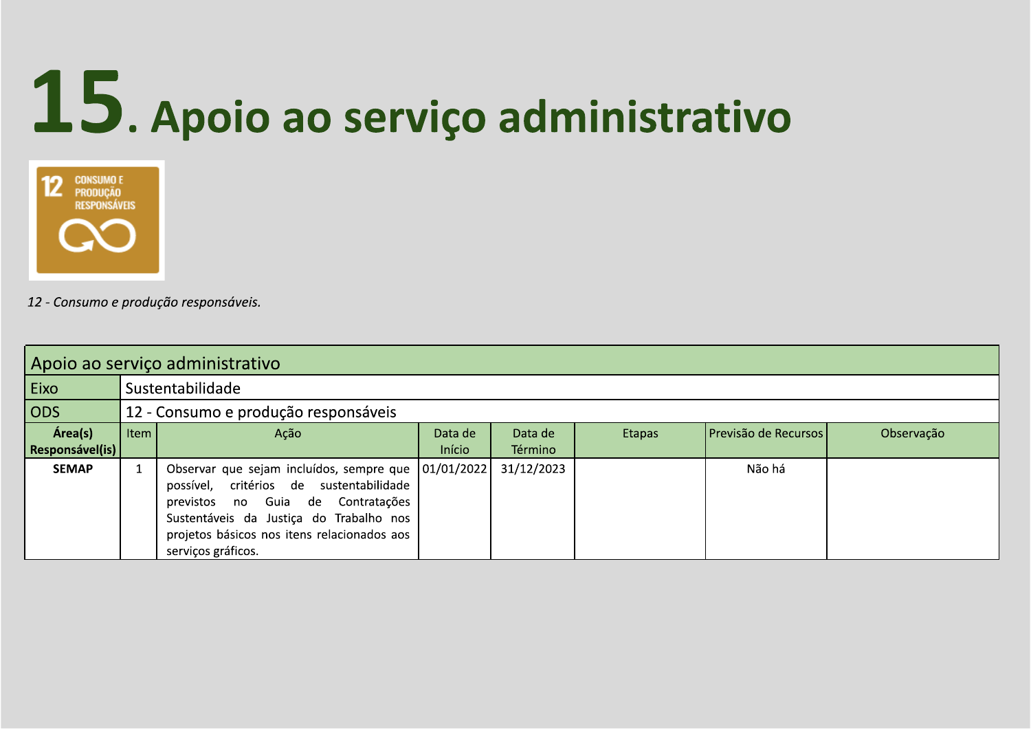## 15. Apoio ao serviço administrativo



| Apoio ao serviço administrativo |      |                                                                                                                                                                                                                                                         |                   |                    |        |                      |            |  |  |
|---------------------------------|------|---------------------------------------------------------------------------------------------------------------------------------------------------------------------------------------------------------------------------------------------------------|-------------------|--------------------|--------|----------------------|------------|--|--|
| Eixo                            |      | Sustentabilidade                                                                                                                                                                                                                                        |                   |                    |        |                      |            |  |  |
| $\overline{\text{ODS}}$         |      | 12 - Consumo e produção responsáveis                                                                                                                                                                                                                    |                   |                    |        |                      |            |  |  |
| Área(s)<br>Responsável(is)      | Item | Ação                                                                                                                                                                                                                                                    | Data de<br>Início | Data de<br>Término | Etapas | Previsão de Recursos | Observação |  |  |
| <b>SEMAP</b>                    |      | Observar que sejam incluídos, sempre que   01/01/2022  <br>possível, critérios de sustentabilidade<br>previstos no Guia de Contratações<br>Sustentáveis da Justiça do Trabalho nos<br>projetos básicos nos itens relacionados aos<br>serviços gráficos. |                   | 31/12/2023         |        | Não há               |            |  |  |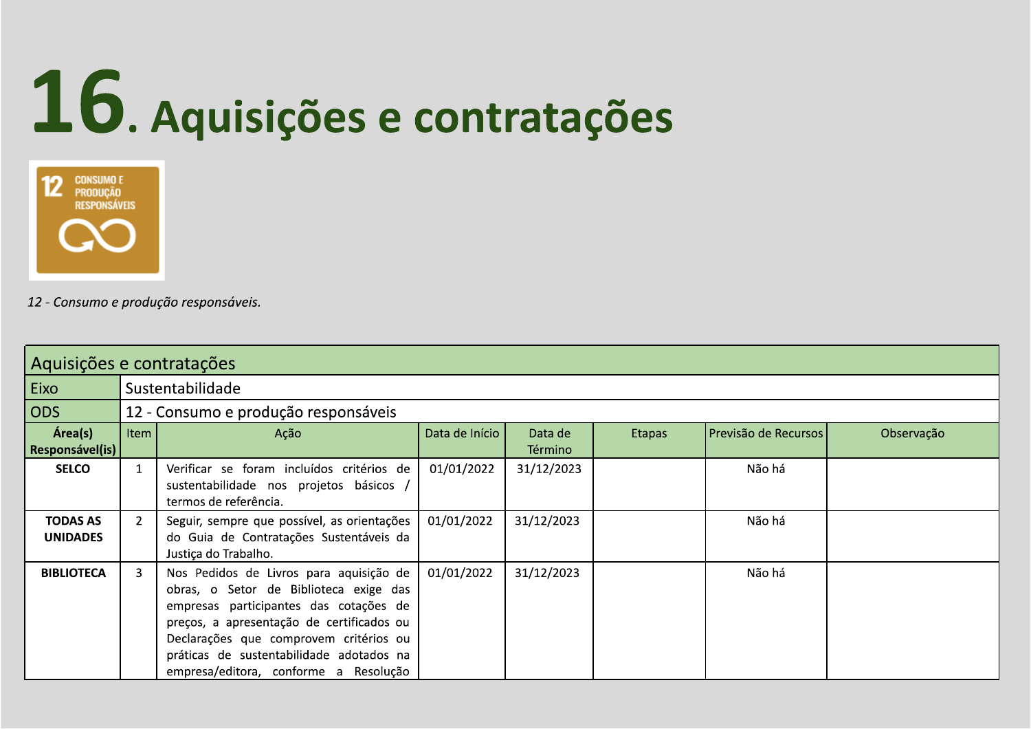# 16. Aquisições e contratações



|                                    | Aquisições e contratações |                                                                                                                                                                                                                                                                                                         |                |                    |        |                      |            |  |  |  |
|------------------------------------|---------------------------|---------------------------------------------------------------------------------------------------------------------------------------------------------------------------------------------------------------------------------------------------------------------------------------------------------|----------------|--------------------|--------|----------------------|------------|--|--|--|
| Eixo                               |                           | Sustentabilidade                                                                                                                                                                                                                                                                                        |                |                    |        |                      |            |  |  |  |
| ODS                                |                           | 12 - Consumo e produção responsáveis                                                                                                                                                                                                                                                                    |                |                    |        |                      |            |  |  |  |
| Área(s)<br><b>Responsável (is)</b> | <b>Item</b>               | Ação                                                                                                                                                                                                                                                                                                    | Data de Início | Data de<br>Término | Etapas | Previsão de Recursos | Observação |  |  |  |
| <b>SELCO</b>                       | $\mathbf{1}$              | Verificar se foram incluídos critérios de<br>sustentabilidade nos projetos básicos /<br>termos de referência.                                                                                                                                                                                           | 01/01/2022     | 31/12/2023         |        | Não há               |            |  |  |  |
| <b>TODAS AS</b><br><b>UNIDADES</b> | $\overline{2}$            | Seguir, sempre que possível, as orientações<br>do Guia de Contratações Sustentáveis da<br>Justiça do Trabalho.                                                                                                                                                                                          | 01/01/2022     | 31/12/2023         |        | Não há               |            |  |  |  |
| <b>BIBLIOTECA</b>                  | 3                         | Nos Pedidos de Livros para aquisição de<br>obras, o Setor de Biblioteca exige das<br>empresas participantes das cotações de<br>preços, a apresentação de certificados ou<br>Declarações que comprovem critérios ou<br>práticas de sustentabilidade adotados na<br>empresa/editora, conforme a Resolução | 01/01/2022     | 31/12/2023         |        | Não há               |            |  |  |  |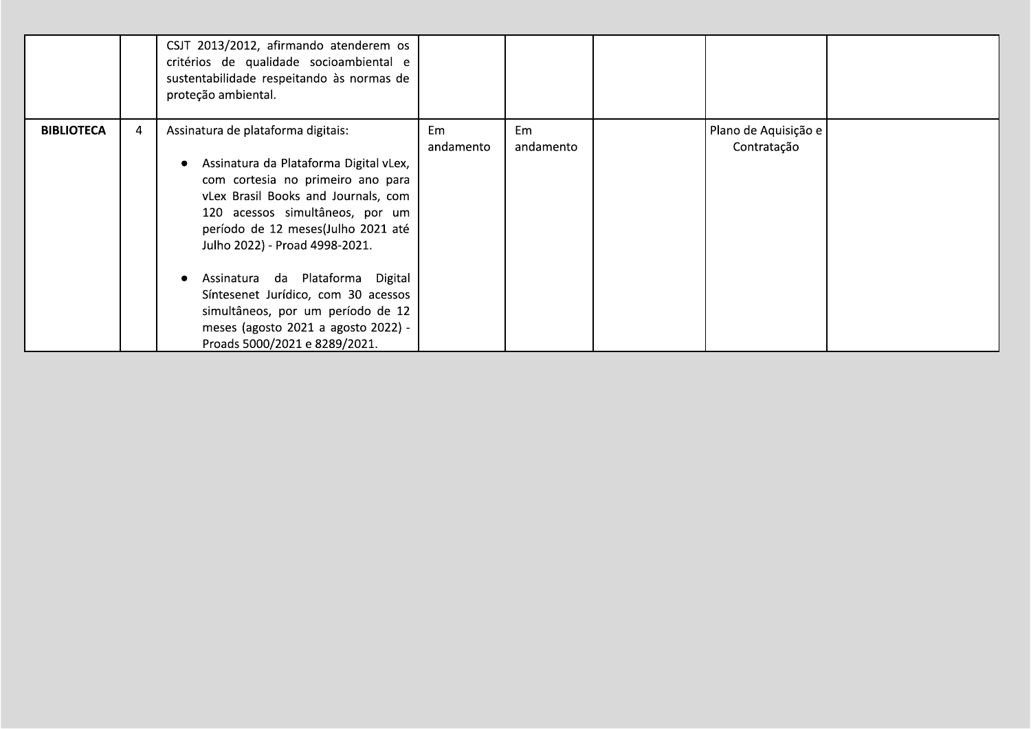|                   |   | CSJT 2013/2012, afirmando atenderem os<br>critérios de qualidade socioambiental e<br>sustentabilidade respeitando às normas de<br>proteção ambiental.                                                                                                                                                                                                                                                                                                       |                 |                 |                                     |  |
|-------------------|---|-------------------------------------------------------------------------------------------------------------------------------------------------------------------------------------------------------------------------------------------------------------------------------------------------------------------------------------------------------------------------------------------------------------------------------------------------------------|-----------------|-----------------|-------------------------------------|--|
| <b>BIBLIOTECA</b> | 4 | Assinatura de plataforma digitais:<br>Assinatura da Plataforma Digital vLex,<br>com cortesia no primeiro ano para<br>vLex Brasil Books and Journals, com<br>120 acessos simultâneos, por um<br>período de 12 meses(Julho 2021 até<br>Julho 2022) - Proad 4998-2021.<br>Assinatura da Plataforma Digital<br>Síntesenet Jurídico, com 30 acessos<br>simultâneos, por um período de 12<br>meses (agosto 2021 a agosto 2022) -<br>Proads 5000/2021 e 8289/2021. | Em<br>andamento | Em<br>andamento | Plano de Aquisição e<br>Contratação |  |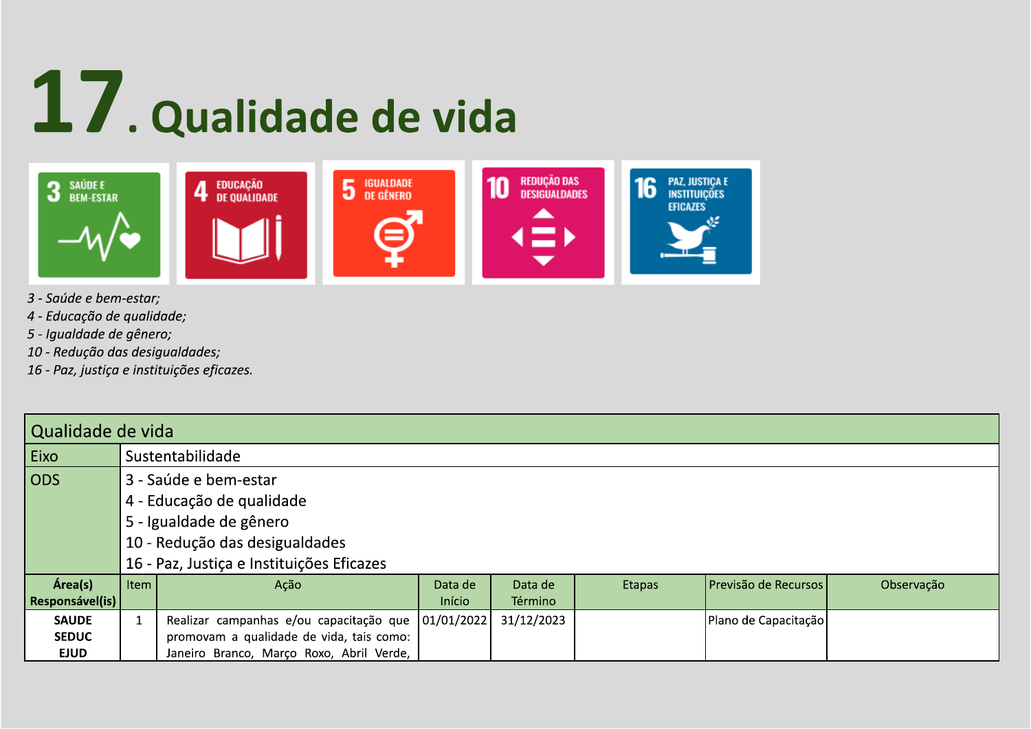# 17. Qualidade de vida



- 3 Saúde e bem-estar;
- 4 Educação de qualidade;
- 5 Igualdade de gênero;
- 10 Redução das desigualdades;
- 16 Paz, justiça e instituições eficazes.

|                 | Qualidade de vida              |                                           |            |                |               |                      |            |  |  |
|-----------------|--------------------------------|-------------------------------------------|------------|----------------|---------------|----------------------|------------|--|--|
| Eixo            |                                | Sustentabilidade                          |            |                |               |                      |            |  |  |
| <b>ODS</b>      |                                | 3 - Saúde e bem-estar                     |            |                |               |                      |            |  |  |
|                 |                                | 4 - Educação de qualidade                 |            |                |               |                      |            |  |  |
|                 |                                | 5 - Igualdade de gênero                   |            |                |               |                      |            |  |  |
|                 | 10 - Redução das desigualdades |                                           |            |                |               |                      |            |  |  |
|                 |                                | 16 - Paz, Justiça e Instituições Eficazes |            |                |               |                      |            |  |  |
| Área(s)         | Item                           | Ação                                      | Data de    | Data de        | <b>Etapas</b> | Previsão de Recursos | Observação |  |  |
| Responsável(is) |                                |                                           | Início     | <b>Término</b> |               |                      |            |  |  |
| <b>SAUDE</b>    |                                | Realizar campanhas e/ou capacitação que   | 01/01/2022 | 31/12/2023     |               | Plano de Capacitação |            |  |  |
| <b>SEDUC</b>    |                                | promovam a qualidade de vida, tais como:  |            |                |               |                      |            |  |  |
| <b>EJUD</b>     |                                | Janeiro Branco, Março Roxo, Abril Verde,  |            |                |               |                      |            |  |  |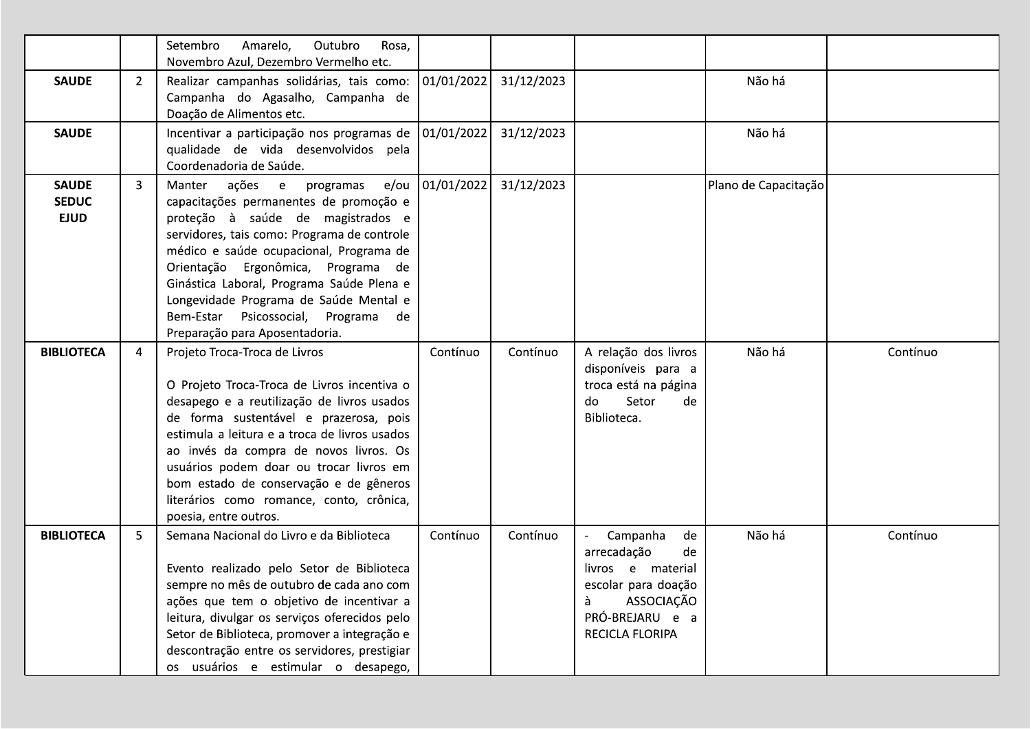|                                             |                | Setembro<br>Amarelo,<br>Outubro<br>Rosa,<br>Novembro Azul, Dezembro Vermelho etc.                                                                                                                                                                                                                                                                                                                                         |                   |            |                                                                                                                                          |                      |          |
|---------------------------------------------|----------------|---------------------------------------------------------------------------------------------------------------------------------------------------------------------------------------------------------------------------------------------------------------------------------------------------------------------------------------------------------------------------------------------------------------------------|-------------------|------------|------------------------------------------------------------------------------------------------------------------------------------------|----------------------|----------|
| <b>SAUDE</b>                                | $\overline{2}$ | Realizar campanhas solidárias, tais como:<br>Campanha do Agasalho, Campanha de<br>Doação de Alimentos etc.                                                                                                                                                                                                                                                                                                                | 01/01/2022        | 31/12/2023 |                                                                                                                                          | Não há               |          |
| <b>SAUDE</b>                                |                | Incentivar a participação nos programas de   01/01/2022  <br>qualidade de vida desenvolvidos pela<br>Coordenadoria de Saúde.                                                                                                                                                                                                                                                                                              |                   | 31/12/2023 |                                                                                                                                          | Não há               |          |
| <b>SAUDE</b><br><b>SEDUC</b><br><b>EJUD</b> | 3              | Manter ações e<br>programas<br>capacitações permanentes de promoção e<br>proteção à saúde de magistrados e<br>servidores, tais como: Programa de controle<br>médico e saúde ocupacional, Programa de<br>Orientação Ergonômica, Programa de<br>Ginástica Laboral, Programa Saúde Plena e<br>Longevidade Programa de Saúde Mental e<br>Bem-Estar Psicossocial, Programa de<br>Preparação para Aposentadoria.                | e/ou   01/01/2022 | 31/12/2023 |                                                                                                                                          | Plano de Capacitação |          |
| <b>BIBLIOTECA</b>                           | 4              | Projeto Troca-Troca de Livros<br>O Projeto Troca-Troca de Livros incentiva o<br>desapego e a reutilização de livros usados<br>de forma sustentável e prazerosa, pois<br>estimula a leitura e a troca de livros usados<br>ao invés da compra de novos livros. Os<br>usuários podem doar ou trocar livros em<br>bom estado de conservação e de gêneros<br>literários como romance, conto, crônica,<br>poesia, entre outros. | Contínuo          | Contínuo   | A relação dos livros<br>disponíveis para a<br>troca está na página<br>Setor<br>do<br>de<br>Biblioteca.                                   | Não há               | Contínuo |
| <b>BIBLIOTECA</b>                           | 5              | Semana Nacional do Livro e da Biblioteca<br>Evento realizado pelo Setor de Biblioteca<br>sempre no mês de outubro de cada ano com<br>ações que tem o objetivo de incentivar a<br>leitura, divulgar os serviços oferecidos pelo<br>Setor de Biblioteca, promover a integração e<br>descontração entre os servidores, prestigiar<br>os usuários e estimular o desapego,                                                     | Contínuo          | Contínuo   | Campanha<br>de<br>arrecadação<br>de<br>livros e material<br>escolar para doação<br>ASSOCIAÇÃO<br>à<br>PRÓ-BREJARU e a<br>RECICLA FLORIPA | Não há               | Contínuo |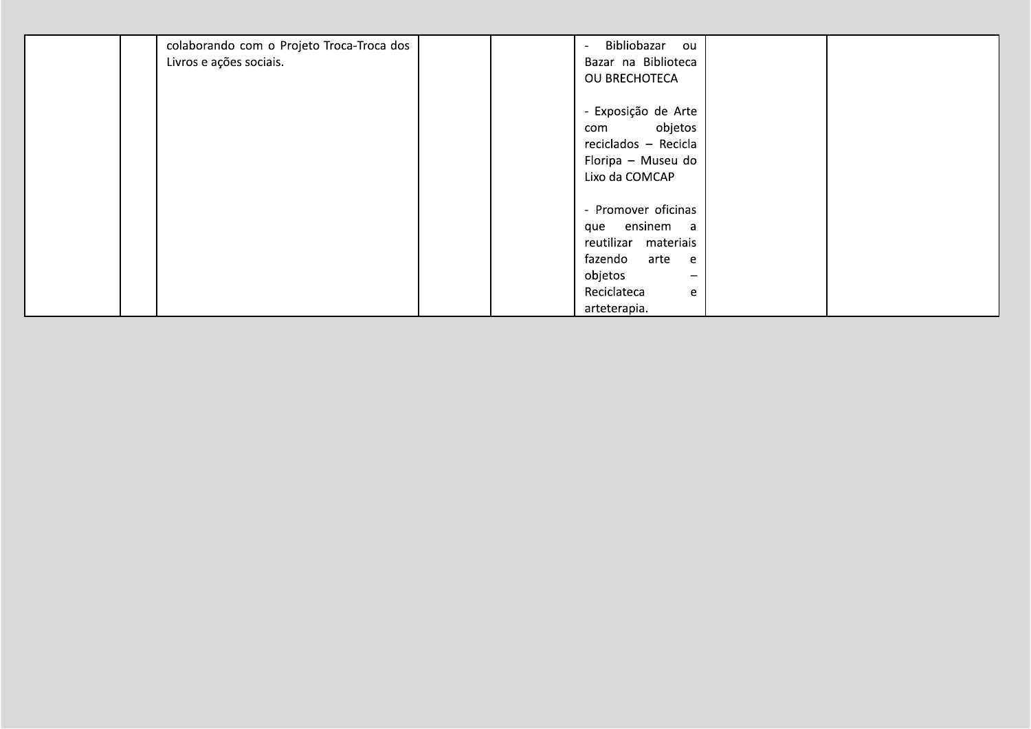| colaborando com o Projeto Troca-Troca dos | Bibliobazar ou<br>$\overline{a}$    |  |
|-------------------------------------------|-------------------------------------|--|
| Livros e ações sociais.                   | Bazar na Biblioteca                 |  |
|                                           | OU BRECHOTECA                       |  |
|                                           |                                     |  |
|                                           | - Exposição de Arte                 |  |
|                                           | objetos<br>com                      |  |
|                                           | reciclados - Recicla                |  |
|                                           | Floripa - Museu do                  |  |
|                                           | Lixo da COMCAP                      |  |
|                                           |                                     |  |
|                                           | - Promover oficinas                 |  |
|                                           | que ensinem a                       |  |
|                                           | reutilizar materiais                |  |
|                                           | fazendo<br>arte e                   |  |
|                                           | objetos<br>$\overline{\phantom{m}}$ |  |
|                                           | Reciclateca<br>e                    |  |
|                                           | arteterapia.                        |  |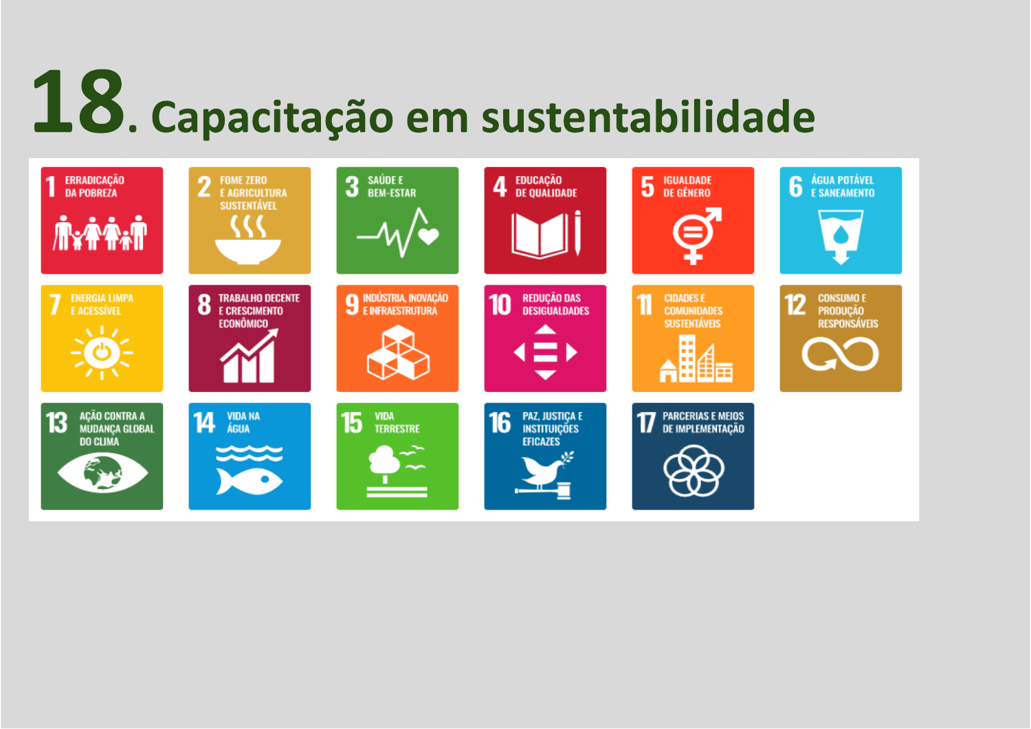# 18. Capacitação em sustentabilidade

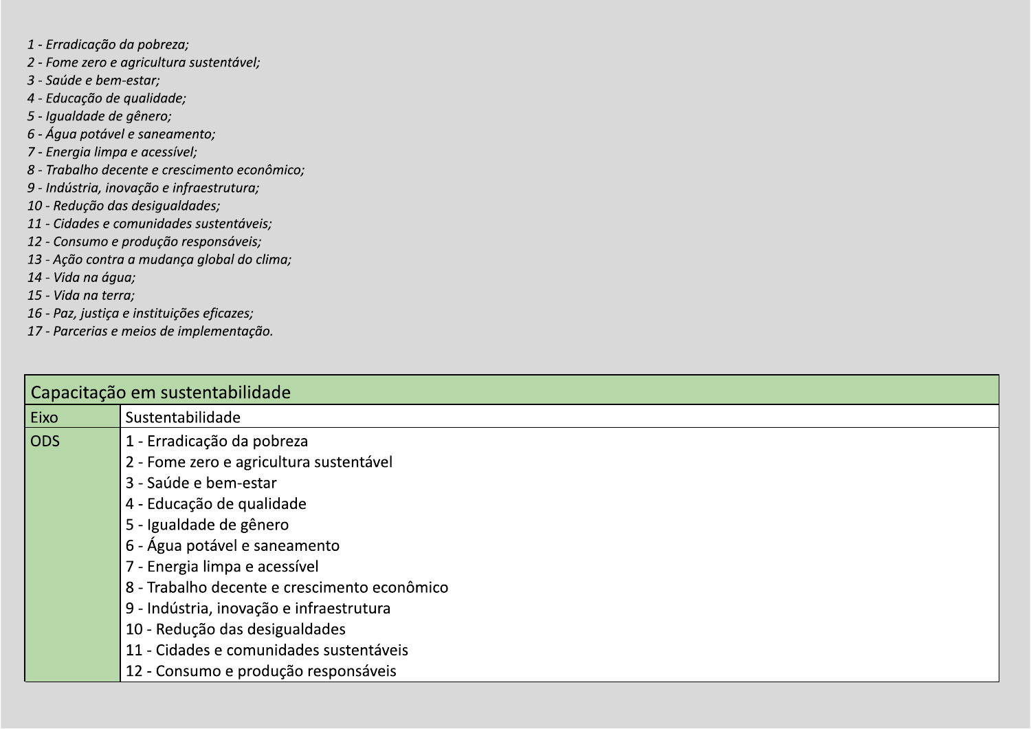- 1 Erradicação da pobreza;
- 2 Fome zero e agricultura sustentável;
- 3 Saúde e bem-estar;
- 4 Educação de qualidade;
- 5 Iqualdade de gênero;
- 6 Água potável e saneamento;
- 7 Energia limpa e acessível;
- 8 Trabalho decente e crescimento econômico;
- 9 Indústria, inovação e infraestrutura;
- 10 Redução das desigualdades;
- 11 Cidades e comunidades sustentáveis;
- 12 Consumo e produção responsáveis;
- 13 Ação contra a mudança global do clima;
- 14 Vida na água;
- 15 Vida na terra;
- 16 Paz, justiça e instituições eficazes;
- 17 Parcerias e meios de implementação.

|            | Capacitação em sustentabilidade              |  |  |  |  |  |  |  |
|------------|----------------------------------------------|--|--|--|--|--|--|--|
| Eixo       | Sustentabilidade                             |  |  |  |  |  |  |  |
| <b>ODS</b> | 1 - Erradicação da pobreza                   |  |  |  |  |  |  |  |
|            | 2 - Fome zero e agricultura sustentável      |  |  |  |  |  |  |  |
|            | 3 - Saúde e bem-estar                        |  |  |  |  |  |  |  |
|            | 4 - Educação de qualidade                    |  |  |  |  |  |  |  |
|            | 5 - Igualdade de gênero                      |  |  |  |  |  |  |  |
|            | 6 - Água potável e saneamento                |  |  |  |  |  |  |  |
|            | 7 - Energia limpa e acessível                |  |  |  |  |  |  |  |
|            | 8 - Trabalho decente e crescimento econômico |  |  |  |  |  |  |  |
|            | 9 - Indústria, inovação e infraestrutura     |  |  |  |  |  |  |  |
|            | 10 - Redução das desigualdades               |  |  |  |  |  |  |  |
|            | 11 - Cidades e comunidades sustentáveis      |  |  |  |  |  |  |  |
|            | 12 - Consumo e produção responsáveis         |  |  |  |  |  |  |  |
|            |                                              |  |  |  |  |  |  |  |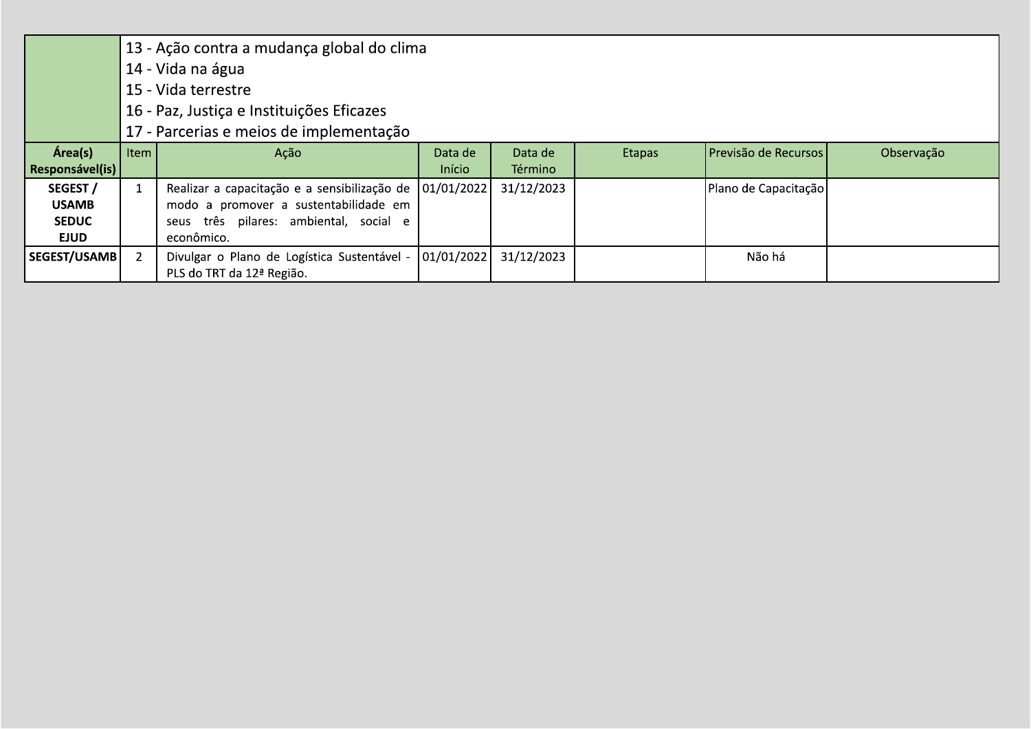|                 |      | 13 - Ação contra a mudança global do clima   |            |            |               |                      |            |  |  |  |
|-----------------|------|----------------------------------------------|------------|------------|---------------|----------------------|------------|--|--|--|
|                 |      | 14 - Vida na água                            |            |            |               |                      |            |  |  |  |
|                 |      | 15 - Vida terrestre                          |            |            |               |                      |            |  |  |  |
|                 |      | 16 - Paz, Justiça e Instituições Eficazes    |            |            |               |                      |            |  |  |  |
|                 |      | 17 - Parcerias e meios de implementação      |            |            |               |                      |            |  |  |  |
| Área(s)         | Item | Ação                                         | Data de    | Data de    | <b>Etapas</b> | Previsão de Recursos | Observação |  |  |  |
| Responsável(is) |      |                                              | Início     | Término    |               |                      |            |  |  |  |
| SEGEST /        |      | Realizar a capacitação e a sensibilização de | 01/01/2022 | 31/12/2023 |               | Plano de Capacitação |            |  |  |  |
| <b>USAMB</b>    |      | modo a promover a sustentabilidade em        |            |            |               |                      |            |  |  |  |
| <b>SEDUC</b>    |      | seus três pilares: ambiental, social e       |            |            |               |                      |            |  |  |  |
| <b>EJUD</b>     |      | econômico.                                   |            |            |               |                      |            |  |  |  |
| SEGEST/USAMB    |      | Divulgar o Plano de Logística Sustentável -  | 01/01/2022 | 31/12/2023 |               | Não há               |            |  |  |  |
|                 |      | PLS do TRT da 12ª Região.                    |            |            |               |                      |            |  |  |  |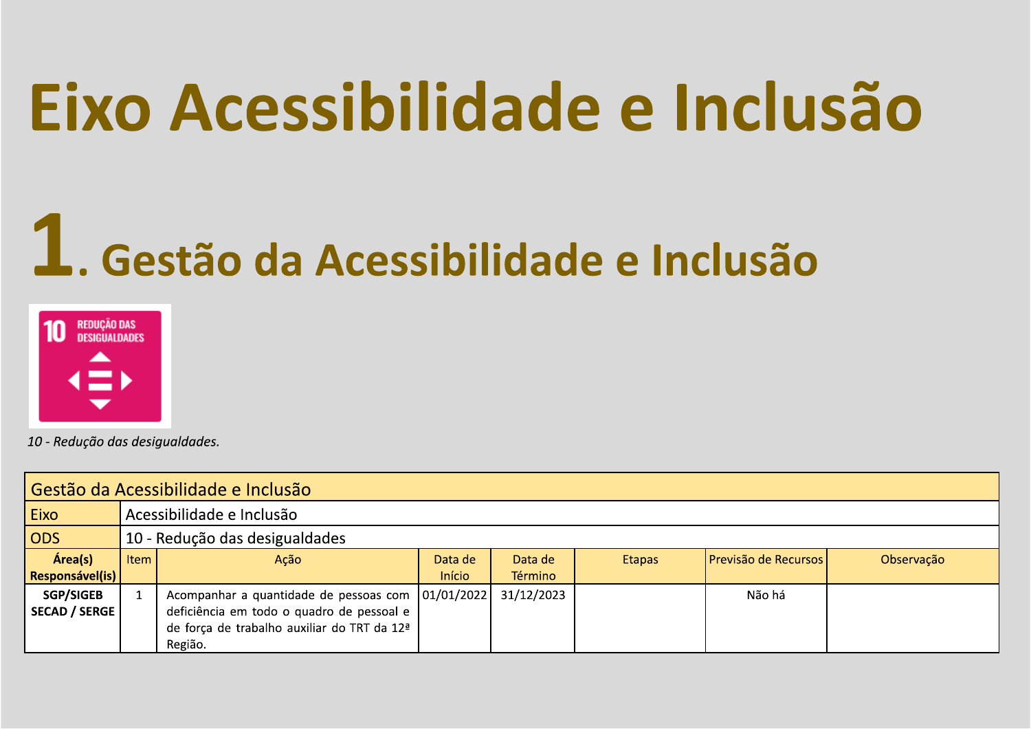### Eixo Acessibilidade e Inclusão

### 1. Gestão da Acessibilidade e Inclusão



| Gestão da Acessibilidade e Inclusão |                                |                                                     |         |            |               |                      |            |  |  |
|-------------------------------------|--------------------------------|-----------------------------------------------------|---------|------------|---------------|----------------------|------------|--|--|
| Eixo                                |                                | Acessibilidade e Inclusão                           |         |            |               |                      |            |  |  |
| ODS                                 | 10 - Redução das desigualdades |                                                     |         |            |               |                      |            |  |  |
| Área(s)                             | Item                           | Ação                                                | Data de | Data de    | <b>Etapas</b> | Previsão de Recursos | Observação |  |  |
| <b>Responsável(is)</b>              |                                |                                                     | Início  | Término    |               |                      |            |  |  |
| <b>SGP/SIGEB</b>                    |                                | Acompanhar a quantidade de pessoas com   01/01/2022 |         | 31/12/2023 |               | Não há               |            |  |  |
| <b>SECAD / SERGE</b>                |                                | deficiência em todo o quadro de pessoal e           |         |            |               |                      |            |  |  |
|                                     |                                | de força de trabalho auxiliar do TRT da 12ª         |         |            |               |                      |            |  |  |
|                                     |                                | Região.                                             |         |            |               |                      |            |  |  |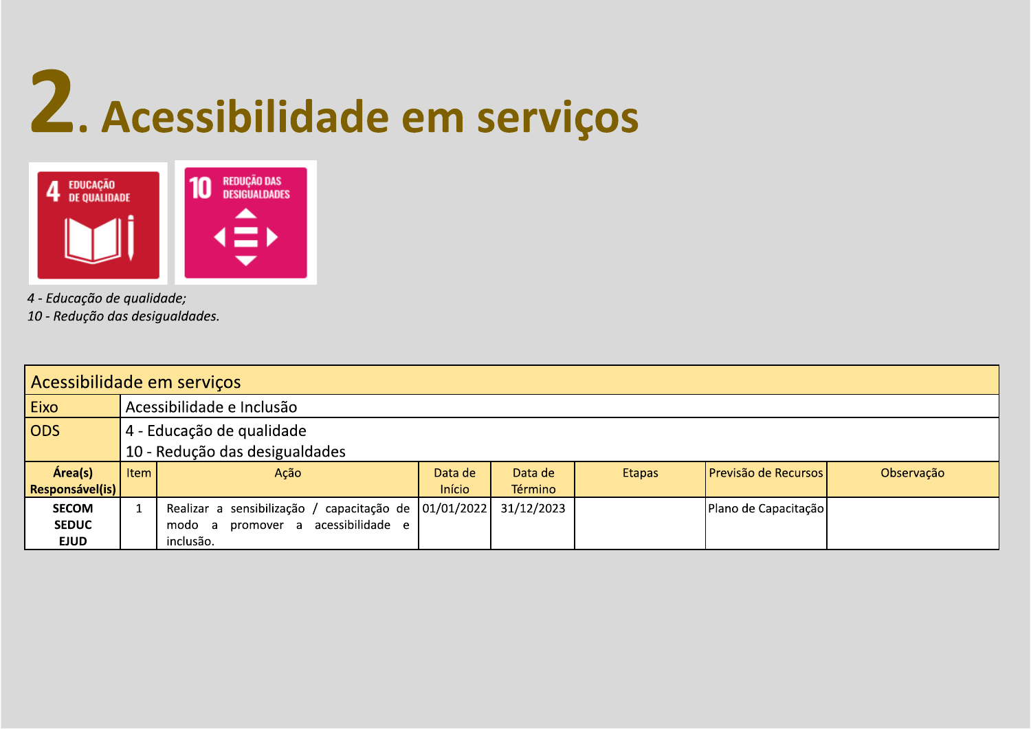# 2. Acessibilidade em serviços



4 - Educação de qualidade;

| Acessibilidade em serviços |      |                                                              |         |            |               |                      |            |  |  |
|----------------------------|------|--------------------------------------------------------------|---------|------------|---------------|----------------------|------------|--|--|
| Eixo                       |      | Acessibilidade e Inclusão                                    |         |            |               |                      |            |  |  |
| <b>ODS</b>                 |      | 4 - Educação de qualidade                                    |         |            |               |                      |            |  |  |
|                            |      | 10 - Redução das desigualdades                               |         |            |               |                      |            |  |  |
| Área(s)                    | Item | Ação                                                         | Data de | Data de    | <b>Etapas</b> | Previsão de Recursos | Observação |  |  |
| Responsável(is)            |      |                                                              | Início  | Término    |               |                      |            |  |  |
| SECOM                      |      | capacitação de $ 01/01/2022 $<br>Realizar a sensibilização / |         | 31/12/2023 |               | Plano de Capacitação |            |  |  |
| <b>SEDUC</b>               |      | modo a promover a acessibilidade e                           |         |            |               |                      |            |  |  |
| <b>EJUD</b>                |      | inclusão.                                                    |         |            |               |                      |            |  |  |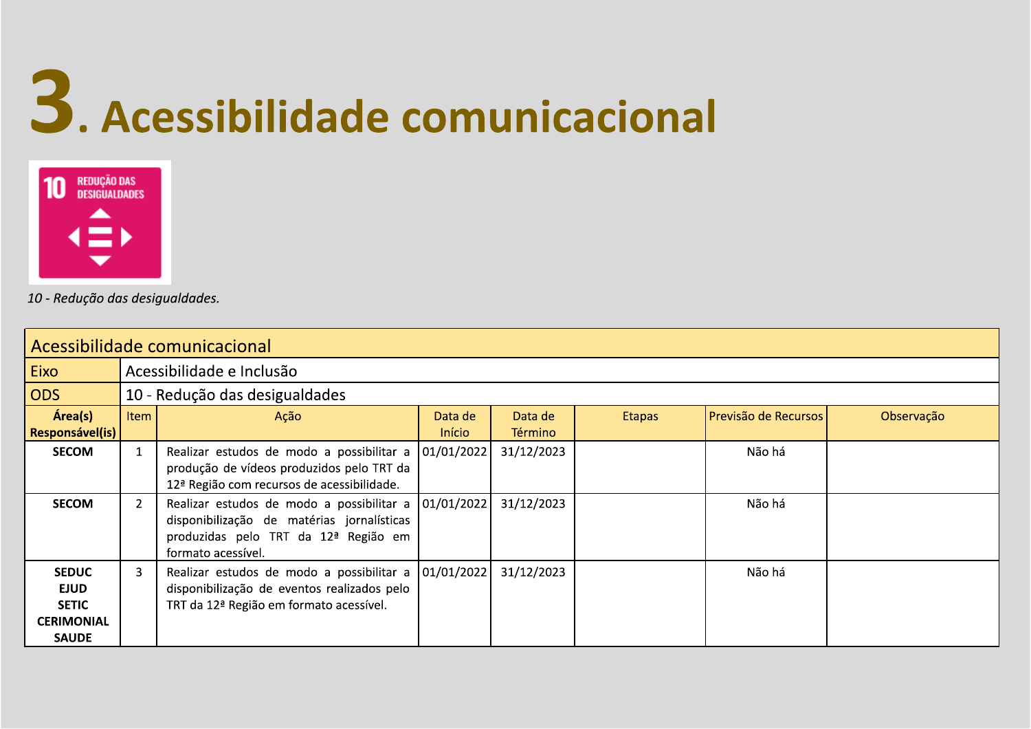## 3. Acessibilidade comunicacional



| Acessibilidade comunicacional                                                    |                                |                                                                                                                                                                      |                          |                           |               |                      |            |  |  |  |
|----------------------------------------------------------------------------------|--------------------------------|----------------------------------------------------------------------------------------------------------------------------------------------------------------------|--------------------------|---------------------------|---------------|----------------------|------------|--|--|--|
| Eixo                                                                             | Acessibilidade e Inclusão      |                                                                                                                                                                      |                          |                           |               |                      |            |  |  |  |
| <b>ODS</b>                                                                       | 10 - Redução das desigualdades |                                                                                                                                                                      |                          |                           |               |                      |            |  |  |  |
| Área(s)<br>Responsável(is)                                                       | Item                           | Ação                                                                                                                                                                 | Data de<br><b>Início</b> | Data de<br><b>Término</b> | <b>Etapas</b> | Previsão de Recursos | Observação |  |  |  |
| <b>SECOM</b>                                                                     | $\mathbf{1}$                   | Realizar estudos de modo a possibilitar a<br>produção de vídeos produzidos pelo TRT da<br>12 <sup>ª</sup> Região com recursos de acessibilidade.                     | 01/01/2022               | 31/12/2023                |               | Não há               |            |  |  |  |
| <b>SECOM</b>                                                                     | $2^{\circ}$                    | Realizar estudos de modo a possibilitar a   01/01/2022  <br>disponibilização de matérias jornalísticas<br>produzidas pelo TRT da 12ª Região em<br>formato acessível. |                          | 31/12/2023                |               | Não há               |            |  |  |  |
| <b>SEDUC</b><br><b>EJUD</b><br><b>SETIC</b><br><b>CERIMONIAL</b><br><b>SAUDE</b> | 3                              | Realizar estudos de modo a possibilitar a<br>disponibilização de eventos realizados pelo<br>TRT da 12ª Região em formato acessível.                                  | 01/01/2022               | 31/12/2023                |               | Não há               |            |  |  |  |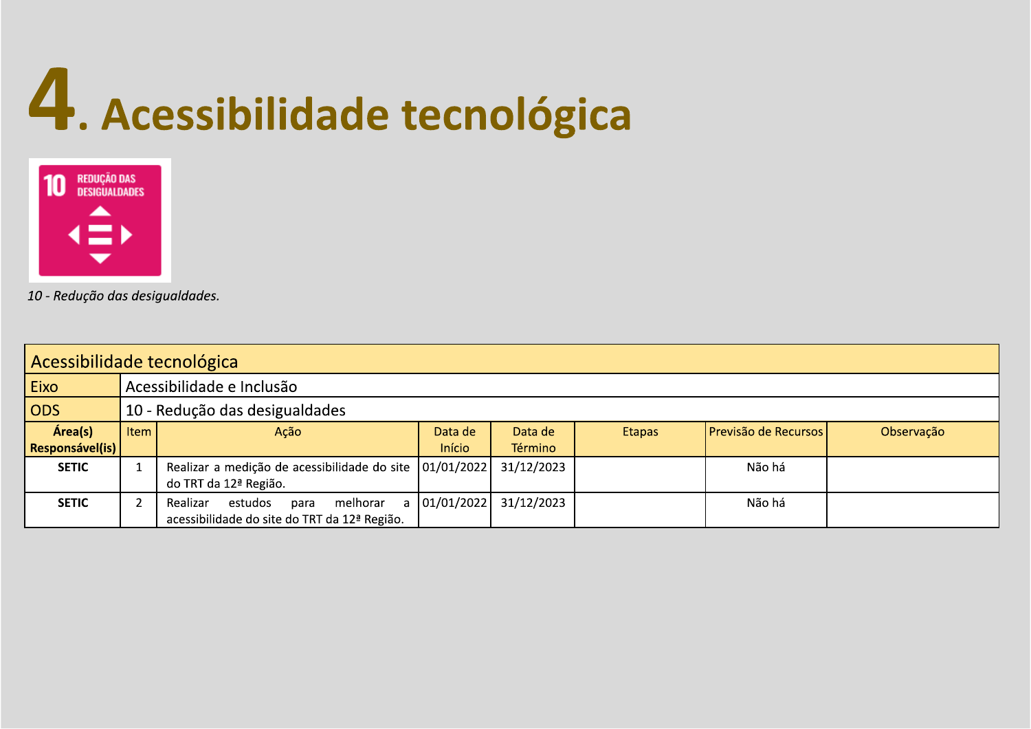### 4. Acessibilidade tecnológica



| Acessibilidade tecnológica |                                |                                              |               |            |               |                      |            |  |  |
|----------------------------|--------------------------------|----------------------------------------------|---------------|------------|---------------|----------------------|------------|--|--|
| <b>Eixo</b>                |                                | Acessibilidade e Inclusão                    |               |            |               |                      |            |  |  |
| ODS                        | 10 - Redução das desigualdades |                                              |               |            |               |                      |            |  |  |
| Área(s)                    | <b>Item</b>                    | Ação                                         | Data de       | Data de    | <b>Etapas</b> | Previsão de Recursos | Observação |  |  |
| <b>Responsável(is)</b>     |                                |                                              | <b>Início</b> | Término    |               |                      |            |  |  |
| <b>SETIC</b>               |                                | Realizar a medição de acessibilidade do site | 01/01/2022    | 31/12/2023 |               | Não há               |            |  |  |
|                            |                                | do TRT da 12ª Região.                        |               |            |               |                      |            |  |  |
| <b>SETIC</b>               |                                | melhorar<br>Realizar<br>estudos<br>para      | 01/01/2022    | 31/12/2023 |               | Não há               |            |  |  |
|                            |                                | acessibilidade do site do TRT da 12ª Região. |               |            |               |                      |            |  |  |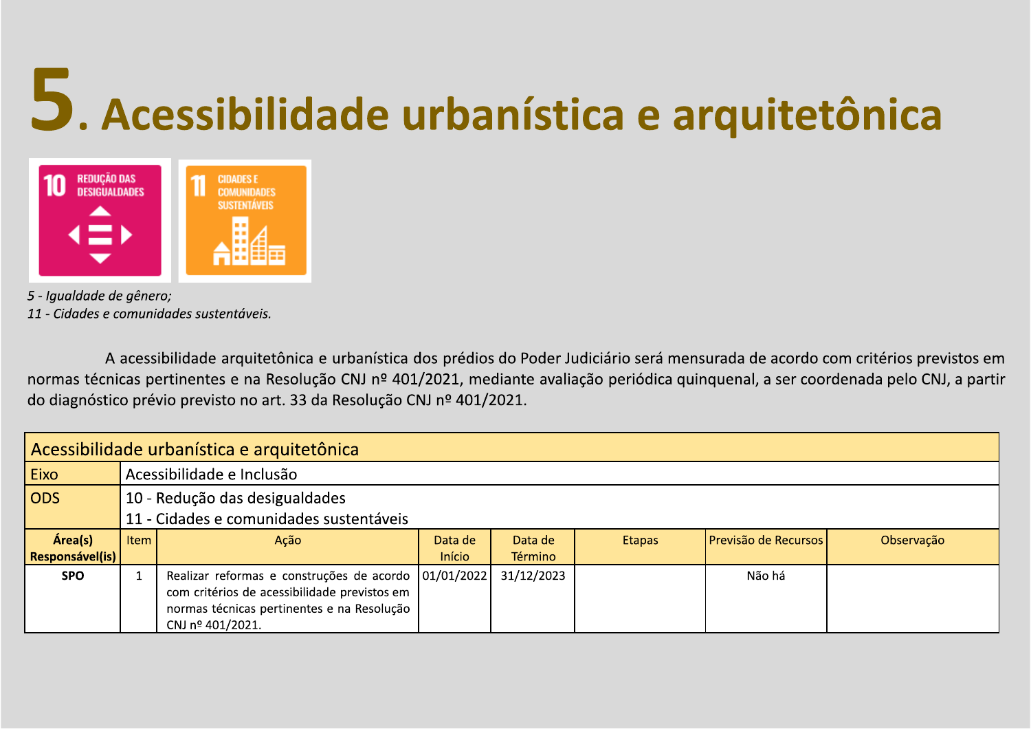# 5. Acessibilidade urbanística e arquitetônica

### REDUÇÃO DAS<br>DESIGUALDADES **CIDADES E COMUNIDADES SUSTENTÁVEIS**

5 - Iqualdade de gênero; 11 - Cidades e comunidades sustentáveis.

A acessibilidade arquitetônica e urbanística dos prédios do Poder Judiciário será mensurada de acordo com critérios previstos em normas técnicas pertinentes e na Resolução CNJ nº 401/2021, mediante avaliação periódica quinquenal, a ser coordenada pelo CNJ, a partir do diagnóstico prévio previsto no art. 33 da Resolução CNJ nº 401/2021.

| Acessibilidade urbanística e arquitetônica |                                         |                                                                                                                                                                            |               |            |               |                      |            |  |  |
|--------------------------------------------|-----------------------------------------|----------------------------------------------------------------------------------------------------------------------------------------------------------------------------|---------------|------------|---------------|----------------------|------------|--|--|
| Eixo                                       |                                         | Acessibilidade e Inclusão                                                                                                                                                  |               |            |               |                      |            |  |  |
| <b>ODS</b>                                 |                                         | 10 - Redução das desigualdades                                                                                                                                             |               |            |               |                      |            |  |  |
|                                            | 11 - Cidades e comunidades sustentáveis |                                                                                                                                                                            |               |            |               |                      |            |  |  |
| Área(s)                                    | Item                                    | Ação                                                                                                                                                                       | Data de       | Data de    | <b>Etapas</b> | Previsão de Recursos | Observação |  |  |
| Responsável(is)                            |                                         |                                                                                                                                                                            | <b>Início</b> | Término    |               |                      |            |  |  |
| <b>SPO</b>                                 |                                         | Realizar reformas e construções de acordo   01/01/2022  <br>com critérios de acessibilidade previstos em<br>normas técnicas pertinentes e na Resolução<br>CNJ nº 401/2021. |               | 31/12/2023 |               | Não há               |            |  |  |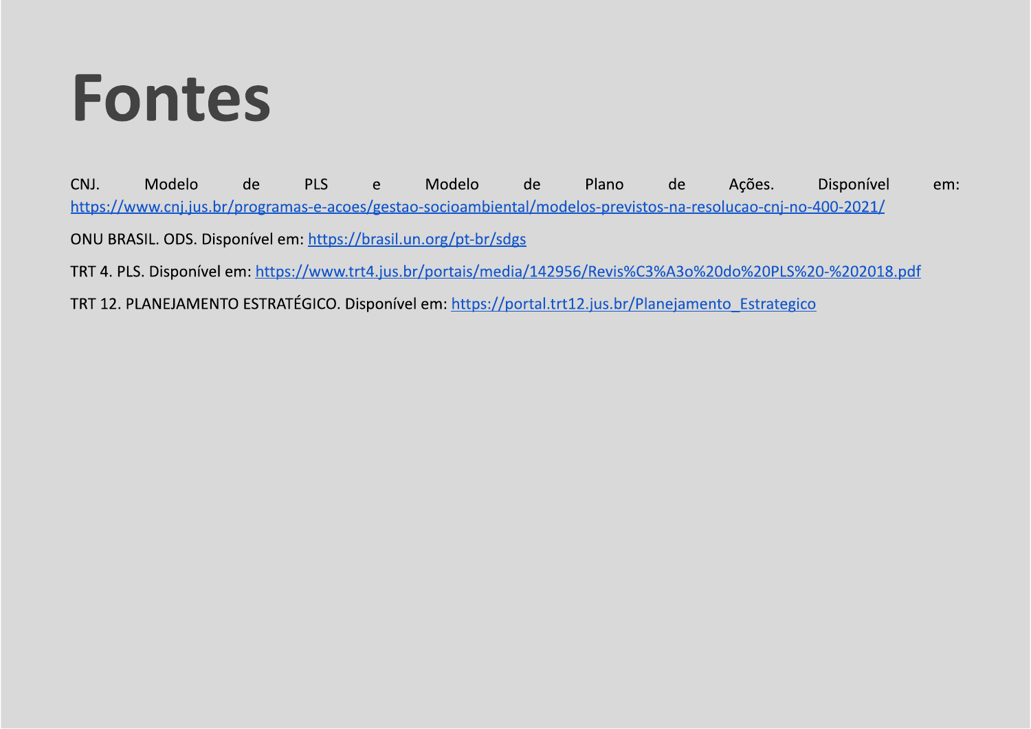### **Fontes**

CNJ. Modelo Modelo Plano de **PLS** de de Ações. Disponível  $\mathsf{e}$ em: https://www.cnj.jus.br/programas-e-acoes/gestao-socioambiental/modelos-previstos-na-resolucao-cnj-no-400-2021/ ONU BRASIL. ODS. Disponível em: https://brasil.un.org/pt-br/sdgs

TRT 4. PLS. Disponível em: https://www.trt4.jus.br/portais/media/142956/Revis%C3%A3o%20do%20PLS%20-%202018.pdf

TRT 12. PLANEJAMENTO ESTRATÉGICO. Disponível em: https://portal.trt12.jus.br/Planejamento Estrategico